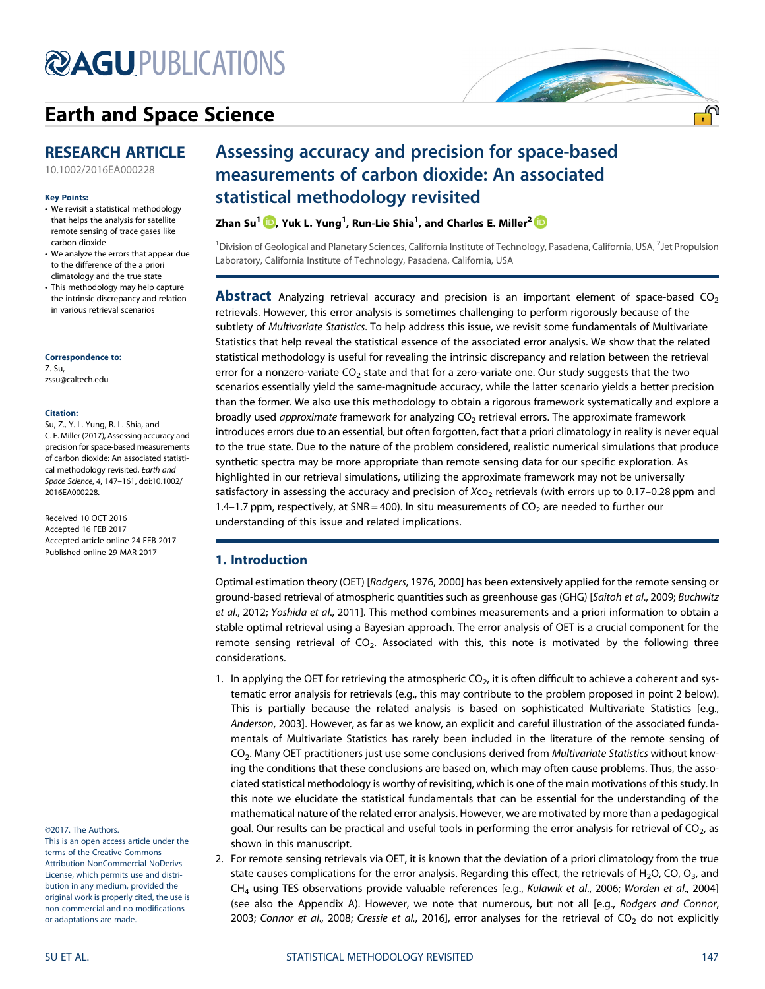# **@AGU[PUBLICATIONS](http://publications.agu.org/journals/)**

# [Earth and Space Science](http://onlinelibrary.wiley.com/journal/10.1002/(ISSN)2333-5084)

## RESEARCH ARTICLE

[10.1002/2016EA000228](http://dx.doi.org/10.1002/2016EA000228)

#### Key Points:

- We revisit a statistical methodology that helps the analysis for satellite remote sensing of trace gases like carbon dioxide
- We analyze the errors that appear due to the difference of the a priori climatology and the true state
- This methodology may help capture the intrinsic discrepancy and relation in various retrieval scenarios

## Correspondence to:

Z. Su, [zssu@caltech.edu](mailto:zssu@caltech.edu)

#### Citation:

Su, Z., Y. L. Yung, R.-L. Shia, and C. E. Miller (2017), Assessing accuracy and precision for space-based measurements of carbon dioxide: An associated statistical methodology revisited, Earth and Space Science, 4, 147–161, doi:10.1002/ 2016EA000228.

Received 10 OCT 2016 Accepted 16 FEB 2017 Accepted article online 24 FEB 2017 Published online 29 MAR 2017

©2017. The Authors.

This is an open access article under the terms of the Creative Commons Attribution-NonCommercial-NoDerivs License, which permits use and distribution in any medium, provided the original work is properly cited, the use is non-commercial and no modifications or adaptations are made.

# Assessing accuracy and precision for space-based measurements of carbon dioxide: An associated statistical methodology revisited

Zhan Su $^1$   $\blacksquare$ [,](http://orcid.org/0000-0002-2699-431X) Yuk L. Yung $^1$ , Run-Lie Shia $^1$ , and Charles E. Miller $^2$ 

<sup>1</sup> Division of Geological and Planetary Sciences, California Institute of Technology, Pasadena, California, USA, <sup>2</sup>Jet Propulsion Laboratory, California Institute of Technology, Pasadena, California, USA

**Abstract** Analyzing retrieval accuracy and precision is an important element of space-based  $CO<sub>2</sub>$ retrievals. However, this error analysis is sometimes challenging to perform rigorously because of the subtlety of Multivariate Statistics. To help address this issue, we revisit some fundamentals of Multivariate Statistics that help reveal the statistical essence of the associated error analysis. We show that the related statistical methodology is useful for revealing the intrinsic discrepancy and relation between the retrieval error for a nonzero-variate  $CO<sub>2</sub>$  state and that for a zero-variate one. Our study suggests that the two scenarios essentially yield the same-magnitude accuracy, while the latter scenario yields a better precision than the former. We also use this methodology to obtain a rigorous framework systematically and explore a broadly used *approximate* framework for analyzing  $CO<sub>2</sub>$  retrieval errors. The approximate framework introduces errors due to an essential, but often forgotten, fact that a priori climatology in reality is never equal to the true state. Due to the nature of the problem considered, realistic numerical simulations that produce synthetic spectra may be more appropriate than remote sensing data for our specific exploration. As highlighted in our retrieval simulations, utilizing the approximate framework may not be universally satisfactory in assessing the accuracy and precision of  $X_{C_2}$  retrievals (with errors up to 0.17–0.28 ppm and 1.4–1.7 ppm, respectively, at SNR = 400). In situ measurements of  $CO<sub>2</sub>$  are needed to further our understanding of this issue and related implications.

### 1. Introduction

Optimal estimation theory (OET) [Rodgers, 1976, 2000] has been extensively applied for the remote sensing or ground-based retrieval of atmospheric quantities such as greenhouse gas (GHG) [Saitoh et al., 2009; Buchwitz et al., 2012; Yoshida et al., 2011]. This method combines measurements and a priori information to obtain a stable optimal retrieval using a Bayesian approach. The error analysis of OET is a crucial component for the remote sensing retrieval of  $CO<sub>2</sub>$ . Associated with this, this note is motivated by the following three considerations.

- 1. In applying the OET for retrieving the atmospheric  $CO<sub>2</sub>$ , it is often difficult to achieve a coherent and systematic error analysis for retrievals (e.g., this may contribute to the problem proposed in point 2 below). This is partially because the related analysis is based on sophisticated Multivariate Statistics [e.g., Anderson, 2003]. However, as far as we know, an explicit and careful illustration of the associated fundamentals of Multivariate Statistics has rarely been included in the literature of the remote sensing of CO<sub>2</sub>. Many OET practitioners just use some conclusions derived from Multivariate Statistics without knowing the conditions that these conclusions are based on, which may often cause problems. Thus, the associated statistical methodology is worthy of revisiting, which is one of the main motivations of this study. In this note we elucidate the statistical fundamentals that can be essential for the understanding of the mathematical nature of the related error analysis. However, we are motivated by more than a pedagogical goal. Our results can be practical and useful tools in performing the error analysis for retrieval of  $CO<sub>2</sub>$ , as shown in this manuscript.
- 2. For remote sensing retrievals via OET, it is known that the deviation of a priori climatology from the true state causes complications for the error analysis. Regarding this effect, the retrievals of H<sub>2</sub>O, CO, O<sub>3</sub>, and CH4 using TES observations provide valuable references [e.g., Kulawik et al., 2006; Worden et al., 2004] (see also the Appendix A). However, we note that numerous, but not all [e.g., Rodgers and Connor, 2003; Connor et al., 2008; Cressie et al., 2016], error analyses for the retrieval of  $CO<sub>2</sub>$  do not explicitly

<u>.എ</u>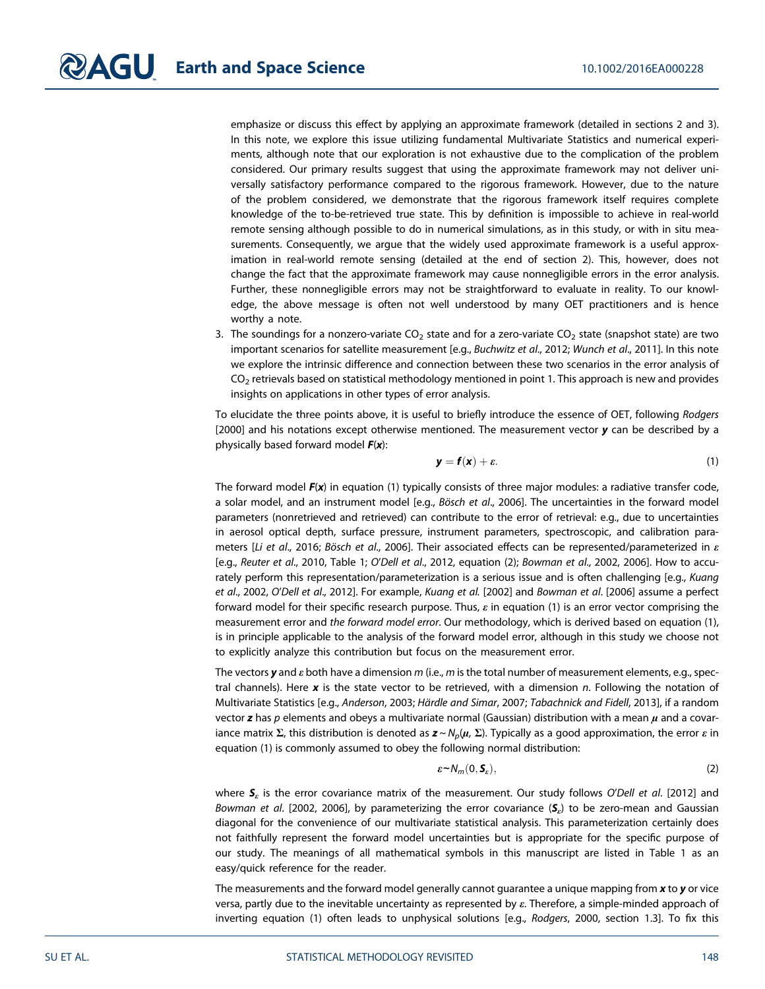emphasize or discuss this effect by applying an approximate framework (detailed in sections 2 and 3). In this note, we explore this issue utilizing fundamental Multivariate Statistics and numerical experiments, although note that our exploration is not exhaustive due to the complication of the problem considered. Our primary results suggest that using the approximate framework may not deliver universally satisfactory performance compared to the rigorous framework. However, due to the nature of the problem considered, we demonstrate that the rigorous framework itself requires complete knowledge of the to-be-retrieved true state. This by definition is impossible to achieve in real-world remote sensing although possible to do in numerical simulations, as in this study, or with in situ measurements. Consequently, we argue that the widely used approximate framework is a useful approximation in real-world remote sensing (detailed at the end of section 2). This, however, does not change the fact that the approximate framework may cause nonnegligible errors in the error analysis. Further, these nonnegligible errors may not be straightforward to evaluate in reality. To our knowledge, the above message is often not well understood by many OET practitioners and is hence worthy a note.

3. The soundings for a nonzero-variate  $CO<sub>2</sub>$  state and for a zero-variate  $CO<sub>2</sub>$  state (snapshot state) are two important scenarios for satellite measurement [e.g., Buchwitz et al., 2012; Wunch et al., 2011]. In this note we explore the intrinsic difference and connection between these two scenarios in the error analysis of  $CO<sub>2</sub>$  retrievals based on statistical methodology mentioned in point 1. This approach is new and provides insights on applications in other types of error analysis.

To elucidate the three points above, it is useful to briefly introduce the essence of OET, following Rodgers [2000] and his notations except otherwise mentioned. The measurement vector  $y$  can be described by a physically based forward model  $F(x)$ :

$$
y = f(x) + \varepsilon. \tag{1}
$$

The forward model  $F(x)$  in equation (1) typically consists of three major modules: a radiative transfer code, a solar model, and an instrument model [e.g., Bösch et al., 2006]. The uncertainties in the forward model parameters (nonretrieved and retrieved) can contribute to the error of retrieval: e.g., due to uncertainties in aerosol optical depth, surface pressure, instrument parameters, spectroscopic, and calibration parameters [Li et al., 2016; Bösch et al., 2006]. Their associated effects can be represented/parameterized in  $\varepsilon$ [e.g., Reuter et al., 2010, Table 1; O'Dell et al., 2012, equation (2); Bowman et al., 2002, 2006]. How to accurately perform this representation/parameterization is a serious issue and is often challenging [e.g., Kuang et al., 2002, O'Dell et al., 2012]. For example, Kuang et al. [2002] and Bowman et al. [2006] assume a perfect forward model for their specific research purpose. Thus,  $\varepsilon$  in equation (1) is an error vector comprising the measurement error and the forward model error. Our methodology, which is derived based on equation (1), is in principle applicable to the analysis of the forward model error, although in this study we choose not to explicitly analyze this contribution but focus on the measurement error.

The vectors y and  $\varepsilon$  both have a dimension m (i.e., m is the total number of measurement elements, e.g., spectral channels). Here  $x$  is the state vector to be retrieved, with a dimension n. Following the notation of Multivariate Statistics [e.g., Anderson, 2003; Härdle and Simar, 2007; Tabachnick and Fidell, 2013], if a random vector z has p elements and obeys a multivariate normal (Gaussian) distribution with a mean  $\mu$  and a covariance matrix Σ, this distribution is denoted as  $z \sim N_p(\mu, \Sigma)$ . Typically as a good approximation, the error ε in equation (1) is commonly assumed to obey the following normal distribution:

$$
\varepsilon \sim N_m(0, \mathbf{S}_{\varepsilon}),\tag{2}
$$

where  $S<sub>e</sub>$  is the error covariance matrix of the measurement. Our study follows O'Dell et al. [2012] and Bowman et al. [2002, 2006], by parameterizing the error covariance  $(\mathcal{S}_{\varepsilon})$  to be zero-mean and Gaussian diagonal for the convenience of our multivariate statistical analysis. This parameterization certainly does not faithfully represent the forward model uncertainties but is appropriate for the specific purpose of our study. The meanings of all mathematical symbols in this manuscript are listed in Table 1 as an easy/quick reference for the reader.

The measurements and the forward model generally cannot guarantee a unique mapping from  $x$  to  $y$  or vice versa, partly due to the inevitable uncertainty as represented by ε. Therefore, a simple-minded approach of inverting equation (1) often leads to unphysical solutions [e.g., Rodgers, 2000, section 1.3]. To fix this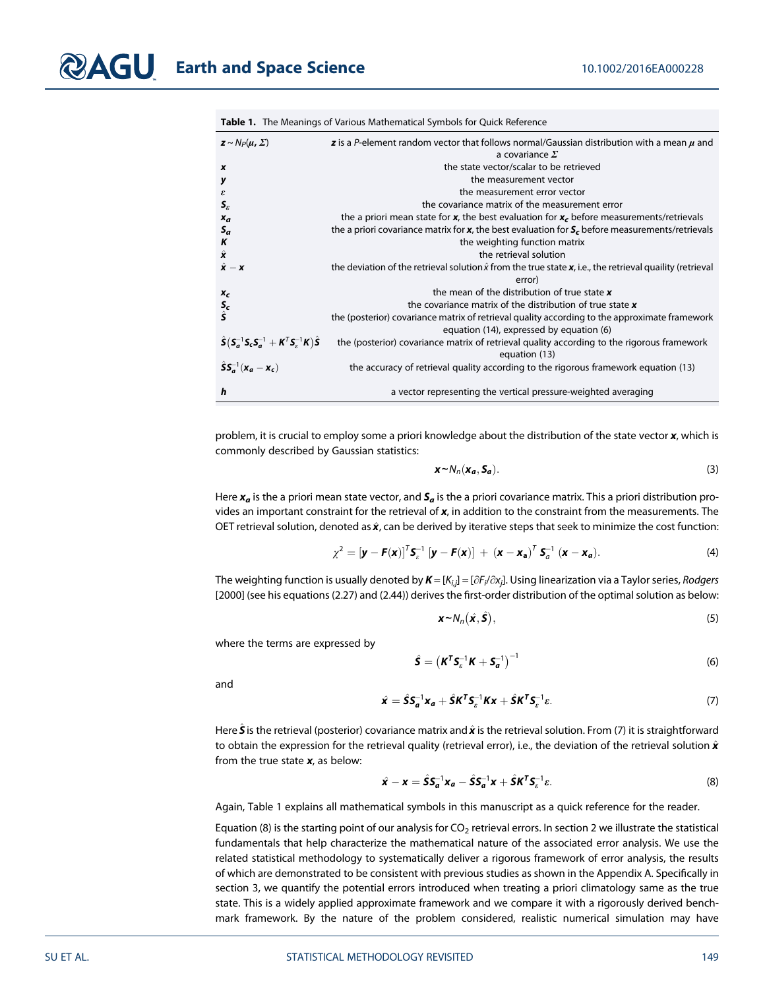|  | <b>Table 1.</b> The Meanings of Various Mathematical Symbols for Quick Reference |  |
|--|----------------------------------------------------------------------------------|--|
|--|----------------------------------------------------------------------------------|--|

| $\mathbf{z} \sim N_P(\boldsymbol{\mu}, \boldsymbol{\Sigma})$                                                                                                       | <b>z</b> is a P-element random vector that follows normal/Gaussian distribution with a mean $\mu$ and               |  |
|--------------------------------------------------------------------------------------------------------------------------------------------------------------------|---------------------------------------------------------------------------------------------------------------------|--|
|                                                                                                                                                                    | a covariance $\Sigma$                                                                                               |  |
| $\boldsymbol{x}$                                                                                                                                                   | the state vector/scalar to be retrieved                                                                             |  |
| y                                                                                                                                                                  | the measurement vector                                                                                              |  |
| $\boldsymbol{\mathcal{E}}$                                                                                                                                         | the measurement error vector                                                                                        |  |
| $S_{\varepsilon}$                                                                                                                                                  | the covariance matrix of the measurement error                                                                      |  |
| $x_a$                                                                                                                                                              | the a priori mean state for x, the best evaluation for $xr$ before measurements/retrievals                          |  |
| $S_a$                                                                                                                                                              | the a priori covariance matrix for $x$ , the best evaluation for $Sr$ before measurements/retrievals                |  |
| K                                                                                                                                                                  | the weighting function matrix                                                                                       |  |
| $\hat{\mathbf{x}}$                                                                                                                                                 | the retrieval solution                                                                                              |  |
| $\hat{\mathbf{x}} - \mathbf{x}$                                                                                                                                    | the deviation of the retrieval solution $\hat{x}$ from the true state $x$ , i.e., the retrieval quaility (retrieval |  |
|                                                                                                                                                                    | error)                                                                                                              |  |
| $x_c$                                                                                                                                                              | the mean of the distribution of true state $x$                                                                      |  |
| $\frac{S_c}{\hat{S}}$                                                                                                                                              | the covariance matrix of the distribution of true state $x$                                                         |  |
|                                                                                                                                                                    | the (posterior) covariance matrix of retrieval quality according to the approximate framework                       |  |
|                                                                                                                                                                    | equation (14), expressed by equation (6)                                                                            |  |
| $\hat{\mathsf{S}}\left(\mathsf{S}_{a}^{-1}\mathsf{S}_{c}\mathsf{S}_{a}^{-1}+\mathsf{K}^{\mathsf{T}}\mathsf{S}_{\varepsilon}^{-1}\mathsf{K}\right)\hat{\mathsf{S}}$ | the (posterior) covariance matrix of retrieval quality according to the rigorous framework                          |  |
|                                                                                                                                                                    | equation (13)                                                                                                       |  |
| $\hat{S}S_{a}^{-1}(x_{a}-x_{c})$                                                                                                                                   | the accuracy of retrieval quality according to the rigorous framework equation (13)                                 |  |
| h                                                                                                                                                                  | a vector representing the vertical pressure-weighted averaging                                                      |  |

problem, it is crucial to employ some a priori knowledge about the distribution of the state vector x, which is commonly described by Gaussian statistics:

$$
\mathbf{x} \sim N_n(\mathbf{x}_a, \mathbf{S}_a). \tag{3}
$$

Here  $x_a$  is the a priori mean state vector, and  $S_a$  is the a priori covariance matrix. This a priori distribution provides an important constraint for the retrieval of  $x$ , in addition to the constraint from the measurements. The OET retrieval solution, denoted as  $\hat{x}$ , can be derived by iterative steps that seek to minimize the cost function:

$$
\chi^2 = \left[\mathbf{y} - \mathbf{F}(\mathbf{x})\right]^T \mathbf{S}_c^{-1} \left[\mathbf{y} - \mathbf{F}(\mathbf{x})\right] + \left(\mathbf{x} - \mathbf{x_a}\right)^T \mathbf{S}_a^{-1} \left(\mathbf{x} - \mathbf{x_a}\right).
$$
 (4)

The weighting function is usually denoted by  $\pmb{\mathit{K}}=[K_{i,j}]=[\partial F_{i}/\partial x_{j}]$ . Using linearization via a Taylor series, Rodgers [2000] (see his equations (2.27) and (2.44)) derives the first-order distribution of the optimal solution as below:

$$
\mathbf{x} \sim N_n(\hat{\mathbf{x}}, \hat{\mathbf{S}}),\tag{5}
$$

where the terms are expressed by

$$
\hat{\mathbf{S}} = \left(\mathbf{K}^{\mathsf{T}} \mathbf{S}_{\varepsilon}^{-1} \mathbf{K} + \mathbf{S}_{\mathbf{a}}^{-1}\right)^{-1} \tag{6}
$$

and

$$
\hat{\mathbf{x}} = \hat{\mathbf{S}} \mathbf{S}_{a}^{-1} \mathbf{x}_{a} + \hat{\mathbf{S}} \mathbf{K}^{T} \mathbf{S}_{\varepsilon}^{-1} \mathbf{K} \mathbf{x} + \hat{\mathbf{S}} \mathbf{K}^{T} \mathbf{S}_{\varepsilon}^{-1} \varepsilon. \tag{7}
$$

Here  $\hat{\bm S}$  is the retrieval (posterior) covariance matrix and  $\hat{\bm x}$  is the retrieval solution. From (7) it is straightforward to obtain the expression for the retrieval quality (retrieval error), i.e., the deviation of the retrieval solution  $\hat{\bm{x}}$ from the true state  $x$ , as below:

$$
\hat{\mathbf{x}} - \mathbf{x} = \hat{\mathbf{S}} \mathbf{S}_a^{-1} \mathbf{x}_a - \hat{\mathbf{S}} \mathbf{S}_a^{-1} \mathbf{x} + \hat{\mathbf{S}} \mathbf{K}^T \mathbf{S}_\varepsilon^{-1} \varepsilon. \tag{8}
$$

Again, Table 1 explains all mathematical symbols in this manuscript as a quick reference for the reader.

Equation (8) is the starting point of our analysis for  $CO<sub>2</sub>$  retrieval errors. In section 2 we illustrate the statistical fundamentals that help characterize the mathematical nature of the associated error analysis. We use the related statistical methodology to systematically deliver a rigorous framework of error analysis, the results of which are demonstrated to be consistent with previous studies as shown in the Appendix A. Specifically in section 3, we quantify the potential errors introduced when treating a priori climatology same as the true state. This is a widely applied approximate framework and we compare it with a rigorously derived benchmark framework. By the nature of the problem considered, realistic numerical simulation may have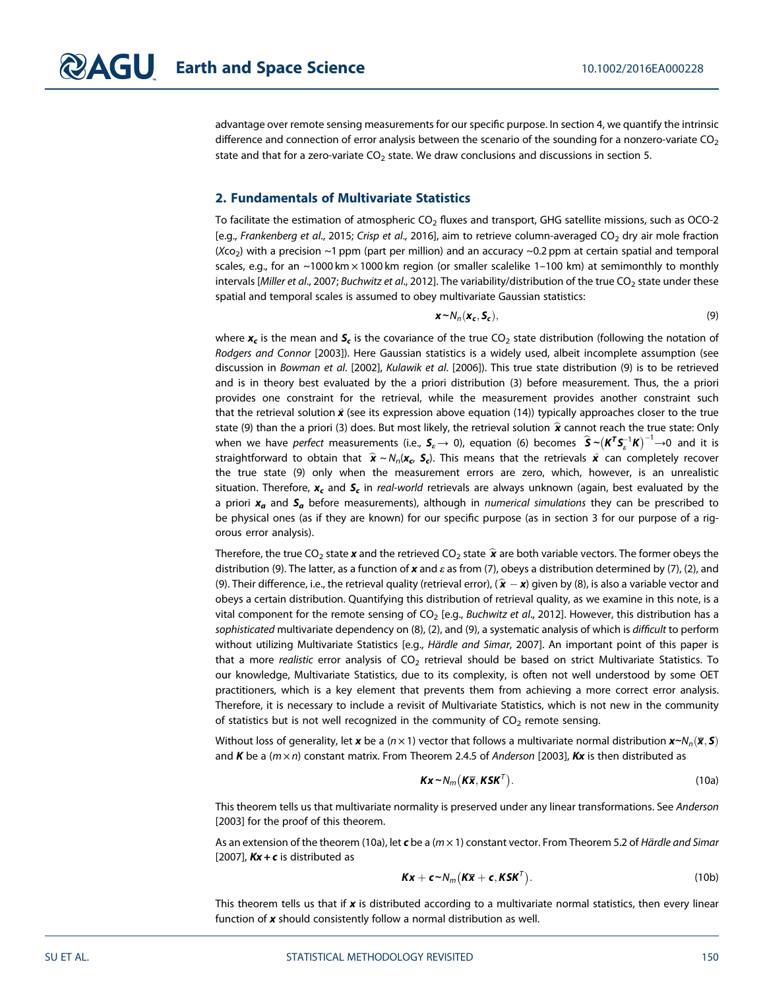advantage over remote sensing measurements for our specific purpose. In section 4, we quantify the intrinsic difference and connection of error analysis between the scenario of the sounding for a nonzero-variate  $CO<sub>2</sub>$ state and that for a zero-variate  $CO<sub>2</sub>$  state. We draw conclusions and discussions in section 5.

#### 2. Fundamentals of Multivariate Statistics

To facilitate the estimation of atmospheric  $CO<sub>2</sub>$  fluxes and transport, GHG satellite missions, such as OCO-2 [e.g., Frankenberg et al., 2015; Crisp et al., 2016], aim to retrieve column-averaged CO<sub>2</sub> dry air mole fraction (Xco<sub>2</sub>) with a precision ~1 ppm (part per million) and an accuracy ~0.2 ppm at certain spatial and temporal scales, e.g., for an  $\sim$ 1000 km  $\times$ 1000 km region (or smaller scalelike 1–100 km) at semimonthly to monthly intervals [Miller et al., 2007; Buchwitz et al., 2012]. The variability/distribution of the true CO<sub>2</sub> state under these spatial and temporal scales is assumed to obey multivariate Gaussian statistics:

$$
\mathbf{x} \sim N_n(\mathbf{x}_c, \mathbf{S}_c),\tag{9}
$$

where  $x_c$  is the mean and  $S_c$  is the covariance of the true CO<sub>2</sub> state distribution (following the notation of Rodgers and Connor [2003]). Here Gaussian statistics is a widely used, albeit incomplete assumption (see discussion in Bowman et al. [2002], Kulawik et al. [2006]). This true state distribution (9) is to be retrieved and is in theory best evaluated by the a priori distribution (3) before measurement. Thus, the a priori provides one constraint for the retrieval, while the measurement provides another constraint such that the retrieval solution  $\hat{\bm{x}}$  (see its expression above equation (14)) typically approaches closer to the true state (9) than the a priori (3) does. But most likely, the retrieval solution  $\hat{\mathbf{x}}$  cannot reach the true state: Only when we have *perfect* measurements (i.e.,  $S_z\to$  0), equation (6) becomes  $\hat{\bm{S}}$  ∼ $(K^T S_z^{-1} K)^{-1}$  $\to$ 0 and it is straightforward to obtain that  $\hat{\bm{x}} \sim N_n(\bm{x_c}, \, \bm{\mathcal{S}_c})$ . This means that the retrievals  $\hat{\bm{x}}$  can completely recover the true state (9) only when the measurement errors are zero, which, however, is an unrealistic situation. Therefore,  $x_c$  and  $S_c$  in real-world retrievals are always unknown (again, best evaluated by the a priori  $x_a$  and  $S_a$  before measurements), although in numerical simulations they can be prescribed to be physical ones (as if they are known) for our specific purpose (as in section 3 for our purpose of a rigorous error analysis).

Therefore, the true CO<sub>2</sub> state x and the retrieved CO<sub>2</sub> state  $\hat{x}$  are both variable vectors. The former obeys the distribution (9). The latter, as a function of x and  $\varepsilon$  as from (7), obeys a distribution determined by (7), (2), and (9). Their difference, i.e., the retrieval quality (retrieval error),  $(\hat{\bm{x}} - \bm{x})$  given by (8), is also a variable vector and obeys a certain distribution. Quantifying this distribution of retrieval quality, as we examine in this note, is a vital component for the remote sensing of  $CO_2$  [e.g., Buchwitz et al., 2012]. However, this distribution has a sophisticated multivariate dependency on (8), (2), and (9), a systematic analysis of which is difficult to perform without utilizing Multivariate Statistics [e.g., Härdle and Simar, 2007]. An important point of this paper is that a more realistic error analysis of  $CO<sub>2</sub>$  retrieval should be based on strict Multivariate Statistics. To our knowledge, Multivariate Statistics, due to its complexity, is often not well understood by some OET practitioners, which is a key element that prevents them from achieving a more correct error analysis. Therefore, it is necessary to include a revisit of Multivariate Statistics, which is not new in the community of statistics but is not well recognized in the community of  $CO<sub>2</sub>$  remote sensing.

Without loss of generality, let x be a (n × 1) vector that follows a multivariate normal distribution  $x \sim N_n(\bar{x}, s)$ and K be a  $(m \times n)$  constant matrix. From Theorem 2.4.5 of Anderson [2003], Kx is then distributed as

$$
Kx \sim N_m(K\overline{x}, KSK^T). \tag{10a}
$$

This theorem tells us that multivariate normality is preserved under any linear transformations. See Anderson [2003] for the proof of this theorem.

As an extension of the theorem (10a), let c be a ( $m \times 1$ ) constant vector. From Theorem 5.2 of Härdle and Simar [2007],  $Kx + c$  is distributed as

$$
Kx + c \sim N_m(K\overline{x} + c, KSK^T).
$$
 (10b)

This theorem tells us that if  $x$  is distributed according to a multivariate normal statistics, then every linear function of x should consistently follow a normal distribution as well.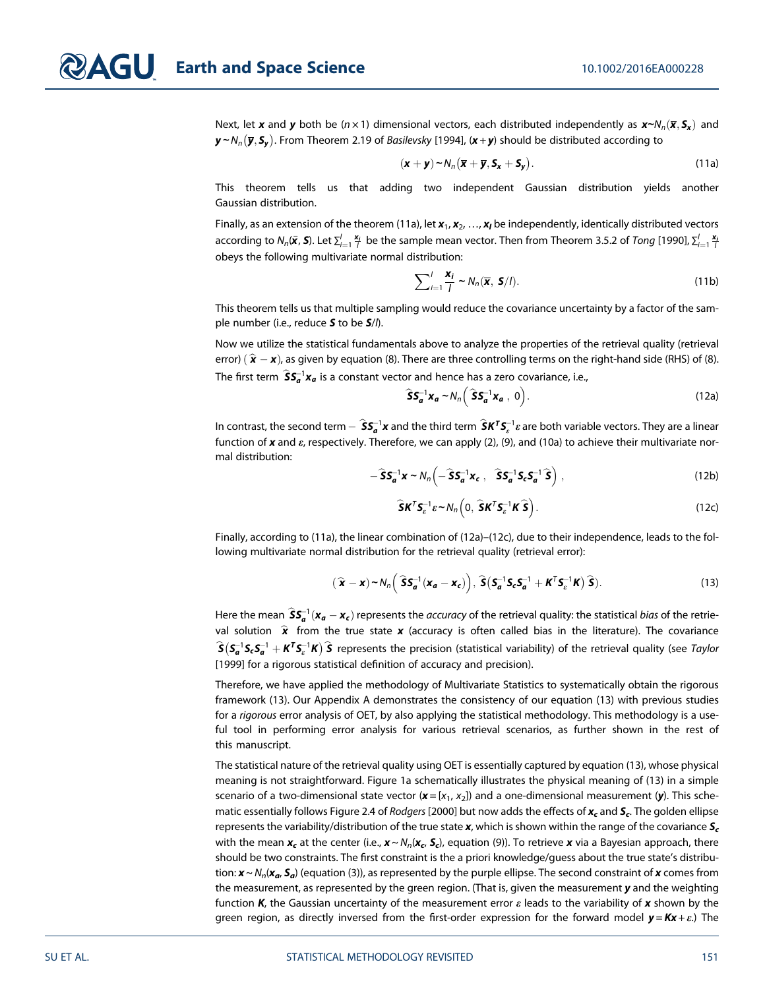Next, let x and y both be (n × 1) dimensional vectors, each distributed independently as x∼N<sub>n</sub>( $\bar{x}$ ,  $S_x$ ) and  ${\bm y}\! \sim\! N_n(\overline{\bm y},{\bm {\mathcal S}_{\bm y}}).$  From Theorem 2.19 of *Basilevsky* [1994], ( ${\bm x}\!+\!{\bm y}$ ) should be distributed according to

$$
(\mathbf{x} + \mathbf{y}) \sim N_n (\overline{\mathbf{x}} + \overline{\mathbf{y}}, \mathbf{S}_{\mathbf{x}} + \mathbf{S}_{\mathbf{y}}).
$$
 (11a)

This theorem tells us that adding two independent Gaussian distribution yields another Gaussian distribution.

Finally, as an extension of the theorem (11a), let  $x_1, x_2, ..., x_l$  be independently, identically distributed vectors according to  $N_n(\bar{\bm{x}},\bm{S}).$  Let  $\sum_{i=1}^l\frac{\bm{x}_i}{l}$  be the sample mean vector. Then from Theorem 3.5.2 of *Tong* [1990],  $\sum_{i=1}^l\frac{\bm{x}_i}{l}$ obeys the following multivariate normal distribution:

$$
\sum_{i=1}^{J} \frac{\mathbf{x}_i}{I} \sim N_n(\overline{\mathbf{x}}, \mathbf{S}/I). \tag{11b}
$$

This theorem tells us that multiple sampling would reduce the covariance uncertainty by a factor of the sample number (i.e., reduce  $S$  to be  $S/l$ ).

Now we utilize the statistical fundamentals above to analyze the properties of the retrieval quality (retrieval error)  $(\hat{\textbf{x}} - \textbf{x})$ , as given by equation (8). There are three controlling terms on the right-hand side (RHS) of (8). The first term  $\widehat{S}S_{a}^{-1}x_{a}$  is a constant vector and hence has a zero covariance, i.e.,

$$
\widehat{\mathbf{S}}\mathbf{S}_{a}^{-1}\mathbf{x}_{a} \sim N_{n}\bigg(\widehat{\mathbf{S}}\mathbf{S}_{a}^{-1}\mathbf{x}_{a},\ 0\bigg). \hspace{1cm} (12a)
$$

In contrast, the second term  $\hat{S}S_a^{-1}x$  and the third term  $\hat{S}K^T S_e^{-1}x$  are both variable vectors. They are a linear function of x and  $\varepsilon$ , respectively. Therefore, we can apply (2), (9), and (10a) to achieve their multivariate normal distribution:

$$
-\hat{S}S_{a}^{-1}\mathbf{x} \sim N_{n}\left(-\hat{S}S_{a}^{-1}\mathbf{x}_{c}, \quad \hat{S}S_{a}^{-1}S_{c}S_{a}^{-1}\hat{S}\right), \qquad (12b)
$$

$$
\widehat{\mathbf{S}}\mathbf{K}^T\mathbf{S}_e^{-1}\varepsilon \sim N_n\Big(0, \widehat{\mathbf{S}}\mathbf{K}^T\mathbf{S}_e^{-1}\mathbf{K}\widehat{\mathbf{S}}\Big). \tag{12c}
$$

Finally, according to (11a), the linear combination of (12a)–(12c), due to their independence, leads to the following multivariate normal distribution for the retrieval quality (retrieval error):

$$
(\widehat{\mathbf{x}} - \mathbf{x}) \sim N_n \bigg( \widehat{\mathbf{S}} \mathbf{S}_a^{-1} (\mathbf{x}_a - \mathbf{x}_c) \bigg), \, \widehat{\mathbf{S}} \big( \mathbf{S}_a^{-1} \mathbf{S}_c \mathbf{S}_a^{-1} + \mathbf{K}^T \mathbf{S}_c^{-1} \mathbf{K} \big) \widehat{\mathbf{S}} \big).
$$
 (13)

Here the mean  $\hat{\bm{S}}\bm{S_a}^{-1}(\bm{x_a}-\bm{x_c})$  represents the *accuracy* of the retrieval quality: the statistical *bias* of the retrieval solution  $\hat{\mathbf{x}}$  from the true state x (accuracy is often called bias in the literature). The covariance  $\widehat{S}(S_a^{-1}S_cS_a^{-1}+K^TS_c^{-1}K)\widehat{S}$  represents the precision (statistical variability) of the retrieval quality (see Taylor [1999] for a rigorous statistical definition of accuracy and precision).

Therefore, we have applied the methodology of Multivariate Statistics to systematically obtain the rigorous framework (13). Our Appendix A demonstrates the consistency of our equation (13) with previous studies for a rigorous error analysis of OET, by also applying the statistical methodology. This methodology is a useful tool in performing error analysis for various retrieval scenarios, as further shown in the rest of this manuscript.

The statistical nature of the retrieval quality using OET is essentially captured by equation (13), whose physical meaning is not straightforward. Figure 1a schematically illustrates the physical meaning of (13) in a simple scenario of a two-dimensional state vector  $(x = [x_1, x_2])$  and a one-dimensional measurement  $(y)$ . This schematic essentially follows Figure 2.4 of Rodgers [2000] but now adds the effects of  $x_c$  and  $S_c$ . The golden ellipse represents the variability/distribution of the true state  $x$ , which is shown within the range of the covariance  $S_c$ with the mean  $x_c$  at the center (i.e.,  $x \sim N_n(x_c, S_c)$ , equation (9)). To retrieve x via a Bayesian approach, there should be two constraints. The first constraint is the a priori knowledge/guess about the true state's distribution:  $x \sim N_n(x_a, S_a)$  (equation (3)), as represented by the purple ellipse. The second constraint of x comes from the measurement, as represented by the green region. (That is, given the measurement y and the weighting function K, the Gaussian uncertainty of the measurement error  $\varepsilon$  leads to the variability of x shown by the green region, as directly inversed from the first-order expression for the forward model  $y = Kx + \varepsilon$ .) The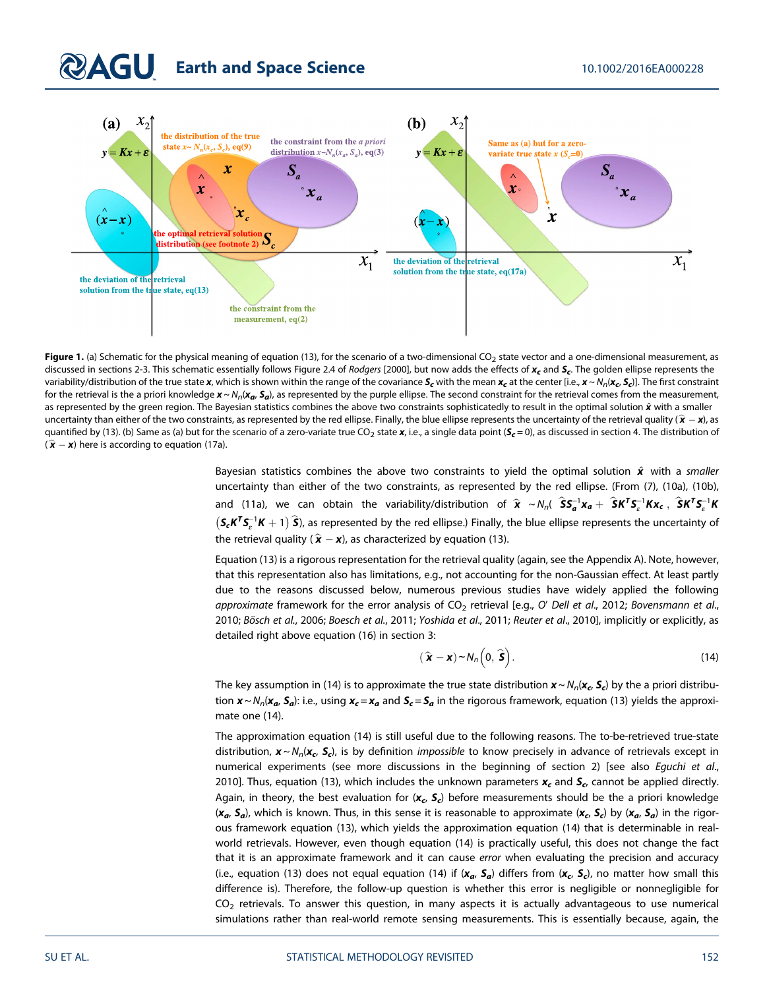# **Earth and Space Science** 10.1002/2016EA000228



Figure 1. (a) Schematic for the physical meaning of equation (13), for the scenario of a two-dimensional CO<sub>2</sub> state vector and a one-dimensional measurement, as discussed in sections 2-3. This schematic essentially follows Figure 2.4 of Rodgers [2000], but now adds the effects of  $x_c$  and  $S_c$ . The golden ellipse represents the variability/distribution of the true state x, which is shown within the range of the covariance  $S_c$  with the mean  $x_c$  at the center [i.e.,  $x \sim N_p(x_c, S_c)$ ]. The first constraint for the retrieval is the a priori knowledge  $x \sim N_p(x_a, S_a)$ , as represented by the purple ellipse. The second constraint for the retrieval comes from the measurement, as represented by the green region. The Bayesian statistics combines the above two constraints sophisticatedly to result in the optimal solution  $\hat{x}$  with a smaller uncertainty than either of the two constraints, as represented by the red ellipse. Finally, the blue ellipse represents the uncertainty of the retrieval quality ( $\hat{\mathbf{x}} - \mathbf{x}$ ), as quantified by (13). (b) Same as (a) but for the scenario of a zero-variate true CO<sub>2</sub> state x, i.e., a single data point ( $S_c$  = 0), as discussed in section 4. The distribution of  $(\hat{\mathbf{x}} - \mathbf{x})$  here is according to equation (17a).

Bayesian statistics combines the above two constraints to yield the optimal solution  $\hat{x}$  with a smaller uncertainty than either of the two constraints, as represented by the red ellipse. (From (7), (10a), (10b), and (11a), we can obtain the variability/distribution of  $\hat{x} ~ \sim N_n$ (  $\hat{S}S_a^{-1}x_a + \hat{S}K^T S_c^{-1}Kx_c$ ,  $\hat{S}K^T S_c^{-1}K$  $(S_cK^TS_c^{-1}K+1)$   $\hat{\bm{S}}$ ), as represented by the red ellipse.) Finally, the blue ellipse represents the uncertainty of the retrieval quality (  $\hat{\mathbf{x}} - \mathbf{x}$ ), as characterized by equation (13).

Equation (13) is a rigorous representation for the retrieval quality (again, see the Appendix A). Note, however, that this representation also has limitations, e.g., not accounting for the non-Gaussian effect. At least partly due to the reasons discussed below, numerous previous studies have widely applied the following approximate framework for the error analysis of  $CO<sub>2</sub>$  retrieval [e.g., O' Dell et al., 2012; Bovensmann et al., 2010; Bösch et al., 2006; Boesch et al., 2011; Yoshida et al., 2011; Reuter et al., 2010], implicitly or explicitly, as detailed right above equation (16) in section 3:

$$
(\widehat{\mathbf{x}} - \mathbf{x}) \sim N_n\left(0, \widehat{\mathbf{s}}\right). \tag{14}
$$

The key assumption in (14) is to approximate the true state distribution  $x \sim N_p(x_c, S_c)$  by the a priori distribution  $x \sim N_n(x_a, S_a)$ : i.e., using  $x_c = x_a$  and  $S_c = S_a$  in the rigorous framework, equation (13) yields the approximate one (14).

The approximation equation (14) is still useful due to the following reasons. The to-be-retrieved true-state distribution,  $x \sim N_n(x_c, S_c)$ , is by definition *impossible* to know precisely in advance of retrievals except in numerical experiments (see more discussions in the beginning of section 2) [see also Eguchi et al., 2010]. Thus, equation (13), which includes the unknown parameters  $x_c$  and  $S_c$ , cannot be applied directly. Again, in theory, the best evaluation for  $(x_c, S_c)$  before measurements should be the a priori knowledge  $(x_a, S_a)$ , which is known. Thus, in this sense it is reasonable to approximate  $(x_c, S_c)$  by  $(x_a, S_a)$  in the rigorous framework equation (13), which yields the approximation equation (14) that is determinable in realworld retrievals. However, even though equation (14) is practically useful, this does not change the fact that it is an approximate framework and it can cause error when evaluating the precision and accuracy (i.e., equation (13) does not equal equation (14) if  $(x_a, S_a)$  differs from  $(x_c, S_c)$ , no matter how small this difference is). Therefore, the follow-up question is whether this error is negligible or nonnegligible for  $CO<sub>2</sub>$  retrievals. To answer this question, in many aspects it is actually advantageous to use numerical simulations rather than real-world remote sensing measurements. This is essentially because, again, the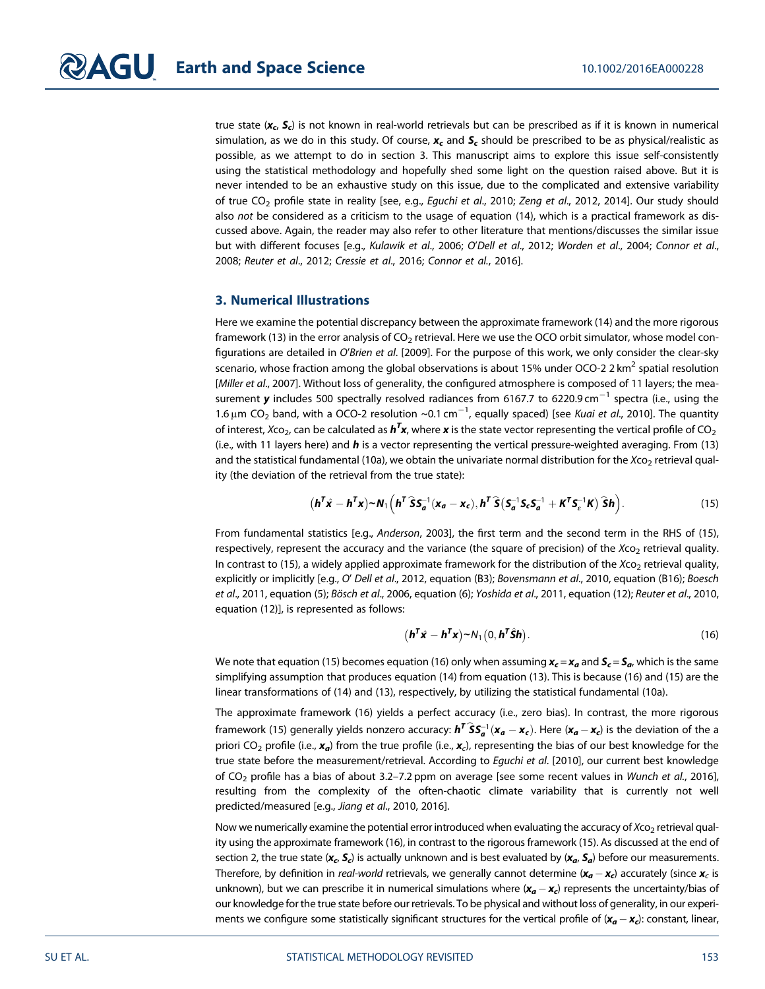true state  $(x_c, S_c)$  is not known in real-world retrievals but can be prescribed as if it is known in numerical simulation, as we do in this study. Of course,  $x_c$  and  $S_c$  should be prescribed to be as physical/realistic as possible, as we attempt to do in section 3. This manuscript aims to explore this issue self-consistently using the statistical methodology and hopefully shed some light on the question raised above. But it is never intended to be an exhaustive study on this issue, due to the complicated and extensive variability of true CO<sub>2</sub> profile state in reality [see, e.g., Equchi et al., 2010; Zeng et al., 2012, 2014]. Our study should also not be considered as a criticism to the usage of equation (14), which is a practical framework as discussed above. Again, the reader may also refer to other literature that mentions/discusses the similar issue but with different focuses [e.g., Kulawik et al., 2006; O'Dell et al., 2012; Worden et al., 2004; Connor et al., 2008; Reuter et al., 2012; Cressie et al., 2016; Connor et al., 2016].

#### 3. Numerical Illustrations

Here we examine the potential discrepancy between the approximate framework (14) and the more rigorous framework (13) in the error analysis of  $CO<sub>2</sub>$  retrieval. Here we use the OCO orbit simulator, whose model configurations are detailed in O'Brien et al. [2009]. For the purpose of this work, we only consider the clear-sky scenario, whose fraction among the global observations is about 15% under OCO-2 2 km<sup>2</sup> spatial resolution [Miller et al., 2007]. Without loss of generality, the configured atmosphere is composed of 11 layers; the measurement **y** includes 500 spectrally resolved radiances from 6167.7 to 6220.9 cm $^{-1}$  spectra (i.e., using the 1.6  $\mu$ m CO<sub>2</sub> band, with a OCO-2 resolution ~0.1 cm<sup>-1</sup>, equally spaced) [see *Kuai et al.*, 2010]. The quantity of interest, Xco<sub>2</sub>, can be calculated as  $\bm h^T\bm x$ , where  $\bm x$  is the state vector representing the vertical profile of CO<sub>2</sub> (i.e., with 11 layers here) and  $h$  is a vector representing the vertical pressure-weighted averaging. From (13) and the statistical fundamental (10a), we obtain the univariate normal distribution for the Xco<sub>2</sub> retrieval quality (the deviation of the retrieval from the true state):

$$
\left(\boldsymbol{h}^T\hat{\boldsymbol{x}} - \boldsymbol{h}^T\boldsymbol{x}\right) \sim \boldsymbol{N}_1\left(\boldsymbol{h}^T\hat{\boldsymbol{S}}\boldsymbol{S}_a^{-1}(\boldsymbol{x}_a - \boldsymbol{x}_c), \boldsymbol{h}^T\hat{\boldsymbol{S}}\left(\boldsymbol{S}_a^{-1}\boldsymbol{S}_c\boldsymbol{S}_a^{-1} + \boldsymbol{K}^T\boldsymbol{S}_c^{-1}\boldsymbol{K}\right)\hat{\boldsymbol{S}}\boldsymbol{h}\right).
$$
 (15)

From fundamental statistics [e.g., Anderson, 2003], the first term and the second term in the RHS of (15), respectively, represent the accuracy and the variance (the square of precision) of the  $Xco<sub>2</sub>$  retrieval quality. In contrast to (15), a widely applied approximate framework for the distribution of the  $Xco<sub>2</sub>$  retrieval quality, explicitly or implicitly [e.g., O' Dell et al., 2012, equation (B3); Bovensmann et al., 2010, equation (B16); Boesch et al., 2011, equation (5); Bösch et al., 2006, equation (6); Yoshida et al., 2011, equation (12); Reuter et al., 2010, equation (12)], is represented as follows:

$$
\left(\boldsymbol{h}^T\hat{\boldsymbol{x}} - \boldsymbol{h}^T\boldsymbol{x}\right) \sim N_1\left(0, \boldsymbol{h}^T\hat{\boldsymbol{S}}\boldsymbol{h}\right). \tag{16}
$$

We note that equation (15) becomes equation (16) only when assuming  $x_c = x_a$  and  $S_c = S_a$ , which is the same simplifying assumption that produces equation (14) from equation (13). This is because (16) and (15) are the linear transformations of (14) and (13), respectively, by utilizing the statistical fundamental (10a).

The approximate framework (16) yields a perfect accuracy (i.e., zero bias). In contrast, the more rigorous framework (15) generally yields nonzero accuracy:  $\bm h^T\bm{\hat S}\bm S_a^{-1}(\bm x_{\bm a}-\bm x_{\bm c})$ . Here  $(\bm x_{\bm a}-\bm x_{\bm c})$  is the deviation of the a priori CO<sub>2</sub> profile (i.e.,  $x_a$ ) from the true profile (i.e.,  $x_c$ ), representing the bias of our best knowledge for the true state before the measurement/retrieval. According to Equchi et al. [2010], our current best knowledge of CO2 profile has a bias of about 3.2–7.2 ppm on average [see some recent values in Wunch et al., 2016], resulting from the complexity of the often-chaotic climate variability that is currently not well predicted/measured [e.g., Jiang et al., 2010, 2016].

Now we numerically examine the potential error introduced when evaluating the accuracy of  $X_{CO_2}$  retrieval quality using the approximate framework (16), in contrast to the rigorous framework (15). As discussed at the end of section 2, the true state ( $x_c$ ,  $S_c$ ) is actually unknown and is best evaluated by ( $x_a$ ,  $S_a$ ) before our measurements. Therefore, by definition in *real-world* retrievals, we generally cannot determine  $(x_a - x_c)$  accurately (since  $x_c$  is unknown), but we can prescribe it in numerical simulations where  $(x_{a}-x_{c})$  represents the uncertainty/bias of our knowledge for the true state before our retrievals. To be physical and without loss of generality, in our experiments we configure some statistically significant structures for the vertical profile of  $(x_a - x_c)$ : constant, linear,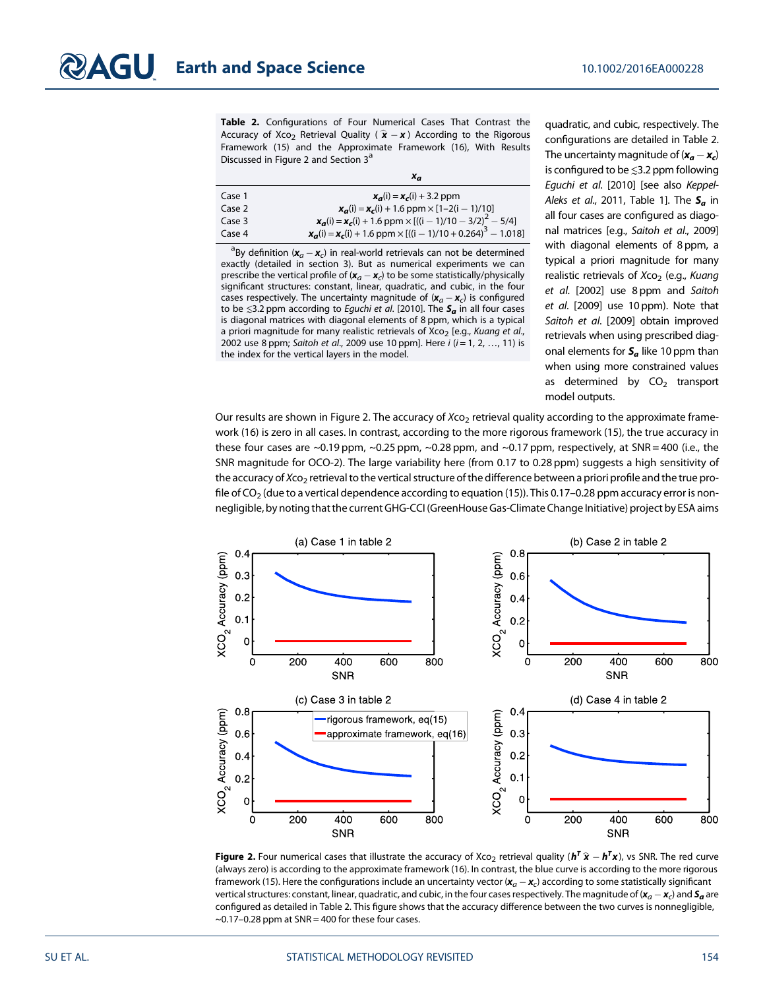Table 2. Configurations of Four Numerical Cases That Contrast the Accuracy of Xco<sub>2</sub> Retrieval Quality ( $\hat{\mathbf{x}} - \mathbf{x}$ ) According to the Rigorous Framework (15) and the Approximate Framework (16), With Results Discussed in Figure 2 and Section 3<sup>a</sup>

|        | $x_a$                                                                                                  |
|--------|--------------------------------------------------------------------------------------------------------|
| Case 1 | $x_{\sigma}(i) = x_{\sigma}(i) + 3.2$ ppm                                                              |
| Case 2 | $x_{\rm g}(i) = x_{\rm g}(i) + 1.6$ ppm $\times$ [1-2(i - 1)/10]                                       |
| Case 3 | $x_{\mathbf{q}}(i) = x_{\mathbf{c}}(i) + 1.6$ ppm $\times$ [((i - 1)/10 - 3/2) <sup>2</sup> - 5/4]     |
| Case 4 | $x_{\mathbf{q}}(i) = x_{\mathbf{c}}(i) + 1.6$ ppm $\times$ [((i - 1)/10 + 0.264) <sup>3</sup> - 1.018] |

<sup>a</sup>By definition ( $\mathbf{x}_a - \mathbf{x}_c$ ) in real-world retrievals can not be determined exactly (detailed in section 3). But as numerical experiments we can prescribe the vertical profile of  $(x_a - x_c)$  to be some statistically/physically significant structures: constant, linear, quadratic, and cubic, in the four cases respectively. The uncertainty magnitude of  $(x_a - x_c)$  is configured to be  $\leq$ 3.2 ppm according to *Eguchi et al.* [2010]. The  $S_a$  in all four cases is diagonal matrices with diagonal elements of 8 ppm, which is a typical a priori magnitude for many realistic retrievals of Xco<sub>2</sub> [e.g., Kuang et al., 2002 use 8 ppm; Saitoh et al., 2009 use 10 ppm]. Here  $i$  ( $i = 1, 2, ..., 11$ ) is the index for the vertical layers in the model.

quadratic, and cubic, respectively. The configurations are detailed in Table 2. The uncertainty magnitude of  $(x_{\boldsymbol{a}}-x_{\boldsymbol{c}})$ is configured to be ≲3.2 ppm following Eguchi et al. [2010] [see also Keppel-Aleks et al., 2011, Table 1]. The  $S_a$  in all four cases are configured as diagonal matrices [e.g., Saitoh et al., 2009] with diagonal elements of 8 ppm, a typical a priori magnitude for many realistic retrievals of  $Xco<sub>2</sub>$  (e.g., Kuang et al. [2002] use 8 ppm and Saitoh et al. [2009] use 10 ppm). Note that Saitoh et al. [2009] obtain improved retrievals when using prescribed diagonal elements for  $S_a$  like 10 ppm than when using more constrained values as determined by  $CO<sub>2</sub>$  transport model outputs.

Our results are shown in Figure 2. The accuracy of Xco<sub>2</sub> retrieval quality according to the approximate framework (16) is zero in all cases. In contrast, according to the more rigorous framework (15), the true accuracy in these four cases are  $\sim$ 0.19 ppm,  $\sim$ 0.25 ppm,  $\sim$ 0.28 ppm, and  $\sim$ 0.17 ppm, respectively, at SNR = 400 (i.e., the SNR magnitude for OCO-2). The large variability here (from 0.17 to 0.28 ppm) suggests a high sensitivity of the accuracy of  $X_{CO_2}$  retrieval to the vertical structure of the difference between a priori profile and the true profile of  $CO<sub>2</sub>$  (due to a vertical dependence according to equation (15)). This 0.17–0.28 ppm accuracy error is nonnegligible, by noting that the current GHG-CCI (GreenHouse Gas-Climate Change Initiative) project by ESA aims



**Figure 2.** Four numerical cases that illustrate the accuracy of Xco<sub>2</sub> retrieval quality ( $h^T \hat{x} - h^T x$ ), vs SNR. The red curve (always zero) is according to the approximate framework (16). In contrast, the blue curve is according to the more rigorous framework (15). Here the configurations include an uncertainty vector ( $x_a - x_c$ ) according to some statistically significant vertical structures: constant, linear, quadratic, and cubic, in the four cases respectively. The magnitude of  $(x_a - x_c)$  and  $\bm{s_a}$  are configured as detailed in Table 2. This figure shows that the accuracy difference between the two curves is nonnegligible,  $\sim$ 0.17–0.28 ppm at SNR = 400 for these four cases.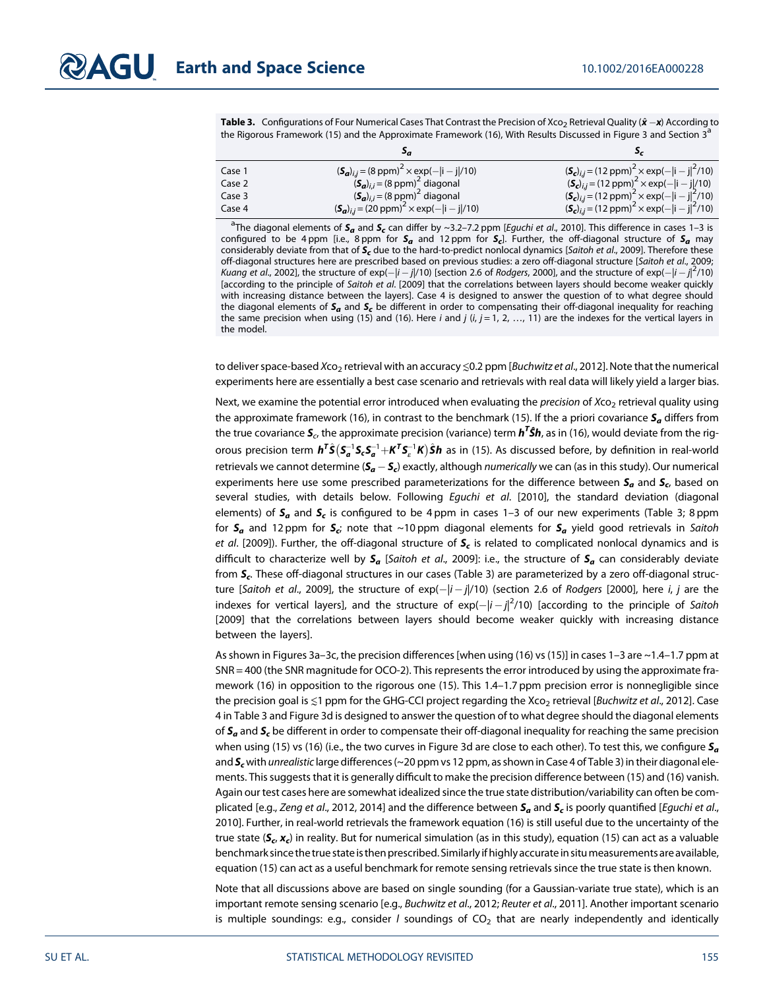**Table 3.** Configurations of Four Numerical Cases That Contrast the Precision of Xco<sub>2</sub> Retrieval Quality ( $\hat{x}$  –x) According to the Rigorous Framework (15) and the Approximate Framework (16), With Results Discussed in Figure 3 and Section 3<sup>a</sup>

|        | эa                                                                           |                                                                                 |
|--------|------------------------------------------------------------------------------|---------------------------------------------------------------------------------|
| Case 1 | $({\bf S}_a)_{i,j} = (8 \text{ ppm})^2 \times \exp(- {\bf i} - {\bf j} /10)$ | $({\bf S}_c)_{i,j}$ = (12 ppm) <sup>2</sup> × exp(- i - j  <sup>2</sup> /10)    |
| Case 2 | $(\mathbf{S}_{\mathbf{a}})_{i,i}$ = (8 ppm) <sup>2</sup> diagonal            | $(S_c)_{i,j} = (12 \text{ ppm})^2 \times \exp(- i - j /10)$                     |
| Case 3 | $(\mathbf{S}_{a})_{i,i}$ = (8 ppm) <sup>2</sup> diagonal                     | $({\bf S}_c)_{i,j} = (12 \text{ ppm})^2 \times \exp(- i-j ^2/10)$               |
| Case 4 | $({\bf S}_a)_{i,j} = (20 \text{ ppm})^2 \times \exp(- i - j /10)$            | $({\bf S}_c)_{i,j} = (12 \text{ ppm})^2 \times \exp(- {\bf i} - {\bf j} ^2/10)$ |

<sup>a</sup>The diagonal elements of  $S_a$  and  $S_c$  can differ by ~3.2–7.2 ppm [*Eguchi et al.*, 2010]. This difference in cases 1–3 is configured to be 4 ppm [i.e., 8 ppm for  $S_a$  and 12 ppm for  $S_c$ ]. Further, the off-diagonal structure of  $S_a$  may considerably deviate from that of  $S_r$  due to the hard-to-predict nonlocal dynamics [Saitoh et al., 2009]. Therefore these off-diagonal structures here are prescribed based on previous studies: a zero off-diagonal structure [Saitoh et al., 2009; Kuang et al., 2002], the structure of  $exp(-|i-j|/10)$  [section 2.6 of Rodgers, 2000], and the structure of  $exp(-|i-j|^2/10)$ [according to the principle of Saitoh et al. [2009] that the correlations between layers should become weaker quickly with increasing distance between the layers]. Case 4 is designed to answer the question of to what degree should the diagonal elements of  $S_a$  and  $S_c$  be different in order to compensating their off-diagonal inequality for reaching the same precision when using (15) and (16). Here i and j  $(i, j = 1, 2, ..., 11)$  are the indexes for the vertical layers in the model.

to deliver space-based Xco<sub>2</sub> retrieval with an accuracy  $\leq 0.2$  ppm [Buchwitz et al., 2012]. Note that the numerical experiments here are essentially a best case scenario and retrievals with real data will likely yield a larger bias.

Next, we examine the potential error introduced when evaluating the *precision* of Xco<sub>2</sub> retrieval quality using the approximate framework (16), in contrast to the benchmark (15). If the a priori covariance  $S_a$  differs from the true covariance  $\bm S_c$  the approximate precision (variance) term  $\bm h^{\bm T}\hat{\bm S}\bm h$ , as in (16), would deviate from the rigorous precision term  $\bm{h^T\hat{S}(S_a^{-1}S_cS_a^{-1}+K^TS_c^{-1}K)\hat{S}\bm{h}}$  as in (15). As discussed before, by definition in real-world retrievals we cannot determine ( $\bm{\mathsf{S}_a-\mathsf{S}_c}$ ) exactly, although *numerically* we can (as in this study). Our numerical experiments here use some prescribed parameterizations for the difference between  $S_a$  and  $S_c$ , based on several studies, with details below. Following Equchi et al. [2010], the standard deviation (diagonal elements) of  $S_a$  and  $S_c$  is configured to be 4 ppm in cases 1–3 of our new experiments (Table 3; 8 ppm for  $S_a$  and 12 ppm for  $S_c$ ; note that ~10 ppm diagonal elements for  $S_a$  yield good retrievals in Saitoh et al. [2009]). Further, the off-diagonal structure of  $S_c$  is related to complicated nonlocal dynamics and is difficult to characterize well by  $S_a$  [Saitoh et al., 2009]: i.e., the structure of  $S_a$  can considerably deviate from  $S_c$ . These off-diagonal structures in our cases (Table 3) are parameterized by a zero off-diagonal structure [S*aitoh et al.,* 2009], the structure of exp $(-|i-j|/10)$  (section 2.6 of *Rodgers* [2000], here *i, j* are the indexes for vertical layers], and the structure of  $\exp(-|i-j|^2/10)$  [according to the principle of Saitoh [2009] that the correlations between layers should become weaker quickly with increasing distance between the layers].

As shown in Figures 3a–3c, the precision differences [when using (16) vs (15)] in cases 1–3 are ~1.4–1.7 ppm at SNR = 400 (the SNR magnitude for OCO-2). This represents the error introduced by using the approximate framework (16) in opposition to the rigorous one (15). This 1.4–1.7 ppm precision error is nonnegligible since the precision goal is  $\leq 1$  ppm for the GHG-CCI project regarding the Xco<sub>2</sub> retrieval [Buchwitz et al., 2012]. Case 4 in Table 3 and Figure 3d is designed to answer the question of to what degree should the diagonal elements of  $S_a$  and  $S_c$  be different in order to compensate their off-diagonal inequality for reaching the same precision when using (15) vs (16) (i.e., the two curves in Figure 3d are close to each other). To test this, we configure  $S_a$ and  $S_c$  with unrealistic large differences (~20 ppm vs 12 ppm, as shown in Case 4 of Table 3) in their diagonal elements. This suggests that it is generally difficult to make the precision difference between (15) and (16) vanish. Again our test cases here are somewhat idealized since the true state distribution/variability can often be complicated [e.g., Zeng et al., 2012, 2014] and the difference between  $S_a$  and  $S_c$  is poorly quantified [Equchi et al., 2010]. Further, in real-world retrievals the framework equation (16) is still useful due to the uncertainty of the true state ( $S_c$ ,  $x_c$ ) in reality. But for numerical simulation (as in this study), equation (15) can act as a valuable benchmark since the true state is then prescribed. Similarly if highly accurate in situmeasurements are available, equation (15) can act as a useful benchmark for remote sensing retrievals since the true state is then known.

Note that all discussions above are based on single sounding (for a Gaussian-variate true state), which is an important remote sensing scenario [e.g., Buchwitz et al., 2012; Reuter et al., 2011]. Another important scenario is multiple soundings: e.g., consider  $l$  soundings of  $CO<sub>2</sub>$  that are nearly independently and identically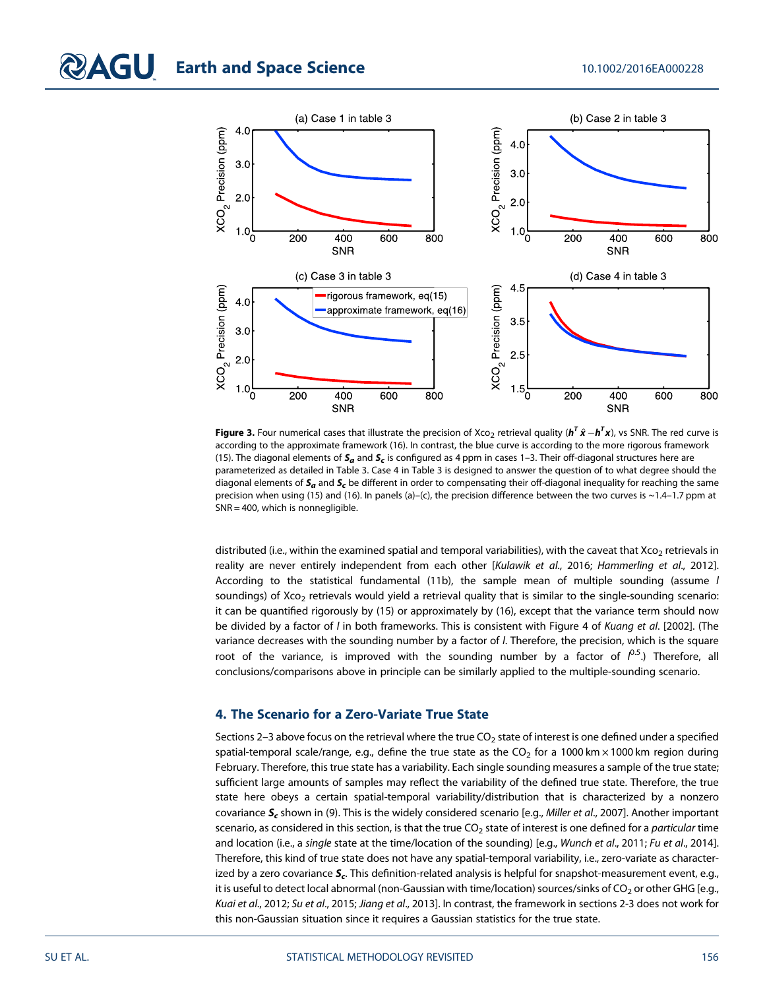

**Figure 3.** Four numerical cases that illustrate the precision of Xco<sub>2</sub> retrieval quality ( $h^T\hat{x} - h^T{x}$ ), vs SNR. The red curve is according to the approximate framework (16). In contrast, the blue curve is according to the more rigorous framework (15). The diagonal elements of  $S_a$  and  $S_c$  is configured as 4 ppm in cases 1–3. Their off-diagonal structures here are parameterized as detailed in Table 3. Case 4 in Table 3 is designed to answer the question of to what degree should the diagonal elements of  $S_a$  and  $S_c$  be different in order to compensating their off-diagonal inequality for reaching the same precision when using (15) and (16). In panels (a)–(c), the precision difference between the two curves is  $\sim$ 1.4–1.7 ppm at SNR = 400, which is nonnegligible.

distributed (i.e., within the examined spatial and temporal variabilities), with the caveat that Xco<sub>2</sub> retrievals in reality are never entirely independent from each other [Kulawik et al., 2016; Hammerling et al., 2012]. According to the statistical fundamental (11b), the sample mean of multiple sounding (assume l soundings) of Xco<sub>2</sub> retrievals would yield a retrieval quality that is similar to the single-sounding scenario: it can be quantified rigorously by (15) or approximately by (16), except that the variance term should now be divided by a factor of *l* in both frameworks. This is consistent with Figure 4 of *Kuang et al.* [2002]. (The variance decreases with the sounding number by a factor of l. Therefore, the precision, which is the square root of the variance, is improved with the sounding number by a factor of  $l^{0.5}$ .) Therefore, all conclusions/comparisons above in principle can be similarly applied to the multiple-sounding scenario.

### 4. The Scenario for a Zero-Variate True State

Sections 2–3 above focus on the retrieval where the true  $CO<sub>2</sub>$  state of interest is one defined under a specified spatial-temporal scale/range, e.g., define the true state as the  $CO<sub>2</sub>$  for a 1000 km  $\times$  1000 km region during February. Therefore, this true state has a variability. Each single sounding measures a sample of the true state; sufficient large amounts of samples may reflect the variability of the defined true state. Therefore, the true state here obeys a certain spatial-temporal variability/distribution that is characterized by a nonzero covariance  $S_c$  shown in (9). This is the widely considered scenario [e.g., Miller et al., 2007]. Another important scenario, as considered in this section, is that the true  $CO<sub>2</sub>$  state of interest is one defined for a *particular* time and location (i.e., a single state at the time/location of the sounding) [e.g., Wunch et al., 2011; Fu et al., 2014]. Therefore, this kind of true state does not have any spatial-temporal variability, i.e., zero-variate as characterized by a zero covariance  $S<sub>c</sub>$ . This definition-related analysis is helpful for snapshot-measurement event, e.g., it is useful to detect local abnormal (non-Gaussian with time/location) sources/sinks of  $CO<sub>2</sub>$  or other GHG [e.g., Kuai et al., 2012; Su et al., 2015; Jiang et al., 2013]. In contrast, the framework in sections 2-3 does not work for this non-Gaussian situation since it requires a Gaussian statistics for the true state.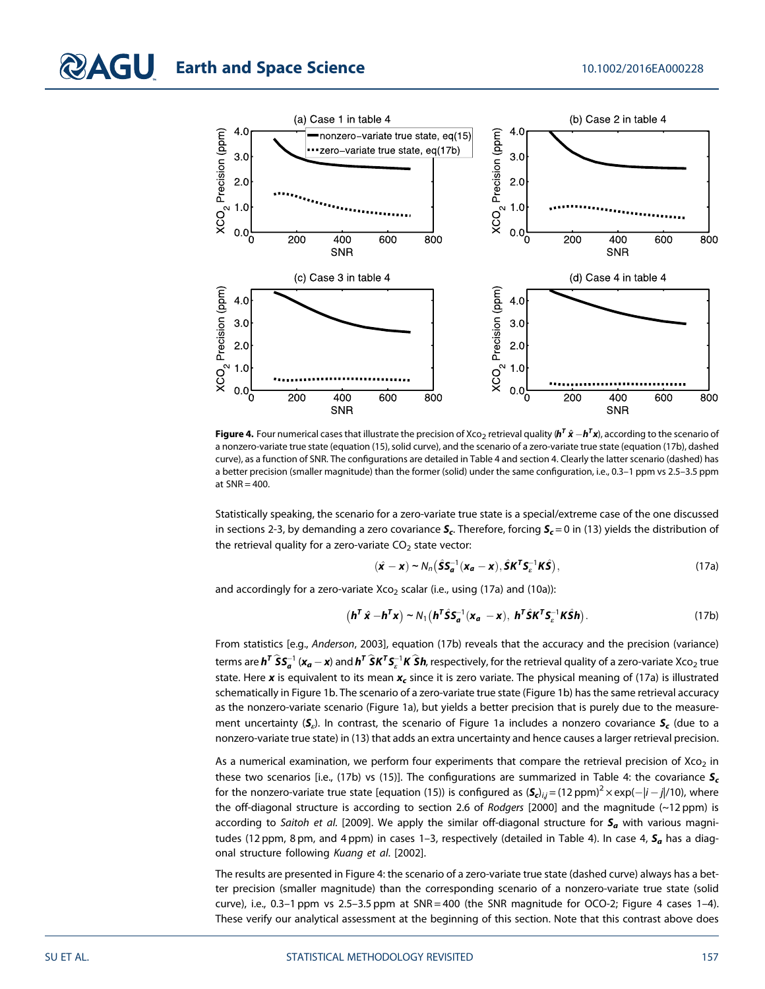

**Figure 4.** Four numerical cases that illustrate the precision of Xco<sub>2</sub> retrieval quality (**h<sup>T</sup>**  $\hat{x}$  $-$  **h<sup>T</sup>x**), according to the scenario of a nonzero-variate true state (equation (15), solid curve), and the scenario of a zero-variate true state (equation (17b), dashed curve), as a function of SNR. The configurations are detailed in Table 4 and section 4. Clearly the latter scenario (dashed) has a better precision (smaller magnitude) than the former (solid) under the same configuration, i.e., 0.3–1 ppm vs 2.5–3.5 ppm at  $SNR = 400$ .

Statistically speaking, the scenario for a zero-variate true state is a special/extreme case of the one discussed in sections 2-3, by demanding a zero covariance  $S_c$ . Therefore, forcing  $S_c = 0$  in (13) yields the distribution of the retrieval quality for a zero-variate  $CO<sub>2</sub>$  state vector:

$$
(\hat{\mathbf{x}} - \mathbf{x}) \sim N_n (\hat{\mathbf{S}} \mathbf{S}_{\mathbf{a}}^{-1} (\mathbf{x}_{\mathbf{a}} - \mathbf{x}), \hat{\mathbf{S}} \mathbf{K}^T \mathbf{S}_{\varepsilon}^{-1} \mathbf{K} \hat{\mathbf{S}}),
$$
\n(17a)

and accordingly for a zero-variate Xco<sub>2</sub> scalar (i.e., using (17a) and (10a)):

$$
\left(\boldsymbol{h}^T\hat{\boldsymbol{x}} - \boldsymbol{h}^T\boldsymbol{x}\right) \sim N_1 \left(\boldsymbol{h}^T\hat{\boldsymbol{S}}\boldsymbol{S}_a^{-1}(\boldsymbol{x}_a - \boldsymbol{x}), \boldsymbol{h}^T\hat{\boldsymbol{S}}\boldsymbol{K}^T\boldsymbol{S}_c^{-1}\boldsymbol{K}\hat{\boldsymbol{S}}\boldsymbol{h}\right).
$$
 (17b)

From statistics [e.g., Anderson, 2003], equation (17b) reveals that the accuracy and the precision (variance) terms are  $\bm{h^T\hat{S}}\bm{S_a^{-1}}$  ( $\bm{x_a}-\bm{x}$ ) and  $\bm{h^T\hat{S}}\bm{K^T}\bm{S_a^{-1}}\bm{K\hat{S}}\bm{h}$ , respectively, for the retrieval quality of a zero-variate Xco<sub>2</sub> true state. Here x is equivalent to its mean  $x_c$  since it is zero variate. The physical meaning of (17a) is illustrated schematically in Figure 1b. The scenario of a zero-variate true state (Figure 1b) has the same retrieval accuracy as the nonzero-variate scenario (Figure 1a), but yields a better precision that is purely due to the measurement uncertainty  $(S_e)$ . In contrast, the scenario of Figure 1a includes a nonzero covariance  $S_c$  (due to a nonzero-variate true state) in (13) that adds an extra uncertainty and hence causes a larger retrieval precision.

As a numerical examination, we perform four experiments that compare the retrieval precision of  $Xco<sub>2</sub>$  in these two scenarios [i.e., (17b) vs (15)]. The configurations are summarized in Table 4: the covariance  $S_c$ for the nonzero-variate true state [equation (15)) is configured as  $(\bm{\mathcal{S}}_{c})_{i,j}$  = (12 ppm) $^2$   $\times$  exp( $-|i-j|$ /10), where the off-diagonal structure is according to section 2.6 of Rodgers [2000] and the magnitude (~12 ppm) is according to Saitoh et al. [2009]. We apply the similar off-diagonal structure for  $S_a$  with various magnitudes (12 ppm, 8 pm, and 4 ppm) in cases 1–3, respectively (detailed in Table 4). In case 4,  $S_a$  has a diagonal structure following Kuang et al. [2002].

The results are presented in Figure 4: the scenario of a zero-variate true state (dashed curve) always has a better precision (smaller magnitude) than the corresponding scenario of a nonzero-variate true state (solid curve), i.e., 0.3-1 ppm vs 2.5-3.5 ppm at SNR = 400 (the SNR magnitude for OCO-2; Figure 4 cases 1-4). These verify our analytical assessment at the beginning of this section. Note that this contrast above does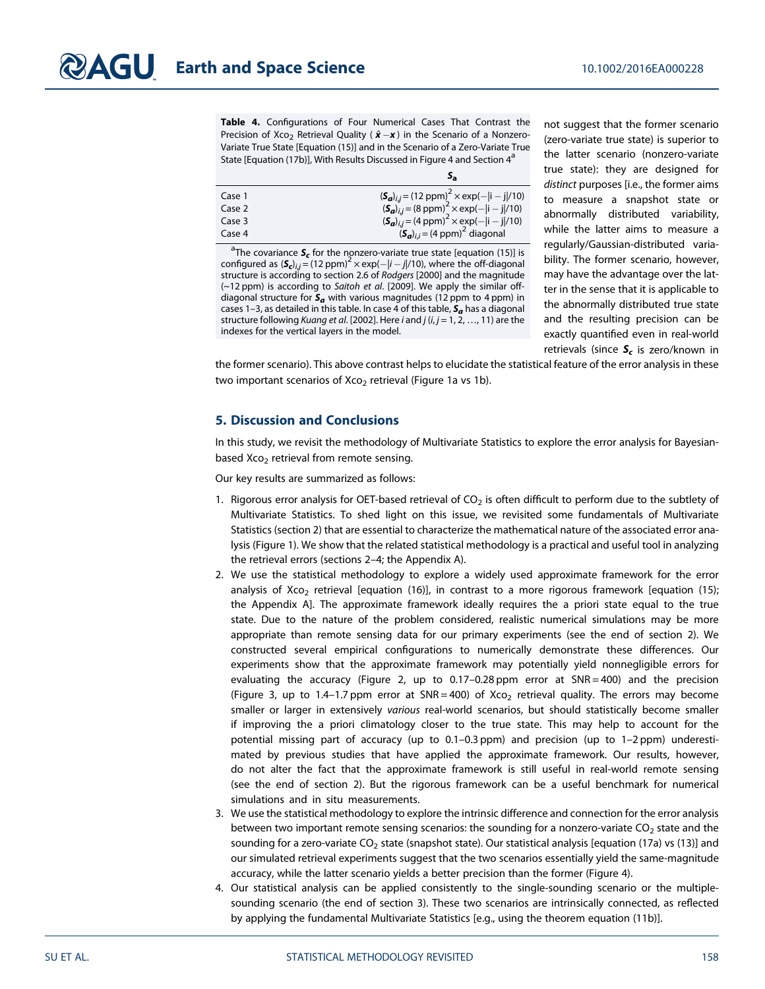Table 4. Configurations of Four Numerical Cases That Contrast the Precision of Xco<sub>2</sub> Retrieval Quality ( $\hat{\mathbf{x}} - \mathbf{x}$ ) in the Scenario of a Nonzero-Variate True State [Equation (15)] and in the Scenario of a Zero-Variate True State [Equation (17b)], With Results Discussed in Figure 4 and Section 4<sup>a</sup>

| Case 1 | $({\bf S}_a)_{i,j}$ = (12 ppm) <sup>2</sup> × exp(- i - j /10)               |
|--------|------------------------------------------------------------------------------|
| Case 2 | $({\bf S}_a)_{i,j} = (8 \text{ ppm})^2 \times \exp(- i - j /10)$             |
| Case 3 | $({\bf S}_a)_{i,j} = (4 \text{ ppm})^2 \times \exp(- {\bf i} - {\bf j} /10)$ |
| Case 4 | $(\mathbf{S}_{a})_{i,i}$ = (4 ppm) <sup>2</sup> diagonal                     |

<sup>a</sup>The covariance  $\boldsymbol{\mathsf{S}}_{\boldsymbol{\mathsf{c}}}$  for the nonzero-variate true state [equation (15)] is configured as  $(S_{c})_{i,j} = (12 \text{ ppm})^2 \times \exp(-|i-j|/10)$ , where the off-diagonal structure is according to section 2.6 of Rodgers [2000] and the magnitude  $(-12$  ppm) is according to Saitoh et al. [2009]. We apply the similar offdiagonal structure for  $S_a$  with various magnitudes (12 ppm to 4 ppm) in cases 1-3, as detailed in this table. In case 4 of this table,  $S_a$  has a diagonal structure following Kuang et al. [2002]. Here  $i$  and  $j$  ( $i, j = 1, 2, ..., 11$ ) are the indexes for the vertical layers in the model.

not suggest that the former scenario (zero-variate true state) is superior to the latter scenario (nonzero-variate true state): they are designed for distinct purposes [i.e., the former aims to measure a snapshot state or abnormally distributed variability, while the latter aims to measure a regularly/Gaussian-distributed variability. The former scenario, however, may have the advantage over the latter in the sense that it is applicable to the abnormally distributed true state and the resulting precision can be exactly quantified even in real-world retrievals (since  $S_c$  is zero/known in

the former scenario). This above contrast helps to elucidate the statistical feature of the error analysis in these two important scenarios of  $X_{C_2}$  retrieval (Figure 1a vs 1b).

### 5. Discussion and Conclusions

In this study, we revisit the methodology of Multivariate Statistics to explore the error analysis for Bayesianbased Xco<sub>2</sub> retrieval from remote sensing.

Our key results are summarized as follows:

- 1. Rigorous error analysis for OET-based retrieval of  $CO<sub>2</sub>$  is often difficult to perform due to the subtlety of Multivariate Statistics. To shed light on this issue, we revisited some fundamentals of Multivariate Statistics (section 2) that are essential to characterize the mathematical nature of the associated error analysis (Figure 1). We show that the related statistical methodology is a practical and useful tool in analyzing the retrieval errors (sections 2–4; the Appendix A).
- 2. We use the statistical methodology to explore a widely used approximate framework for the error analysis of Xco<sub>2</sub> retrieval [equation (16)], in contrast to a more rigorous framework [equation (15); the Appendix A]. The approximate framework ideally requires the a priori state equal to the true state. Due to the nature of the problem considered, realistic numerical simulations may be more appropriate than remote sensing data for our primary experiments (see the end of section 2). We constructed several empirical configurations to numerically demonstrate these differences. Our experiments show that the approximate framework may potentially yield nonnegligible errors for evaluating the accuracy (Figure 2, up to 0.17-0.28 ppm error at SNR = 400) and the precision (Figure 3, up to 1.4–1.7 ppm error at  $SNR = 400$ ) of  $XCO<sub>2</sub>$  retrieval quality. The errors may become smaller or larger in extensively various real-world scenarios, but should statistically become smaller if improving the a priori climatology closer to the true state. This may help to account for the potential missing part of accuracy (up to 0.1–0.3 ppm) and precision (up to 1–2 ppm) underestimated by previous studies that have applied the approximate framework. Our results, however, do not alter the fact that the approximate framework is still useful in real-world remote sensing (see the end of section 2). But the rigorous framework can be a useful benchmark for numerical simulations and in situ measurements.
- 3. We use the statistical methodology to explore the intrinsic difference and connection for the error analysis between two important remote sensing scenarios: the sounding for a nonzero-variate  $CO<sub>2</sub>$  state and the sounding for a zero-variate CO<sub>2</sub> state (snapshot state). Our statistical analysis [equation (17a) vs (13)] and our simulated retrieval experiments suggest that the two scenarios essentially yield the same-magnitude accuracy, while the latter scenario yields a better precision than the former (Figure 4).
- 4. Our statistical analysis can be applied consistently to the single-sounding scenario or the multiplesounding scenario (the end of section 3). These two scenarios are intrinsically connected, as reflected by applying the fundamental Multivariate Statistics [e.g., using the theorem equation (11b)].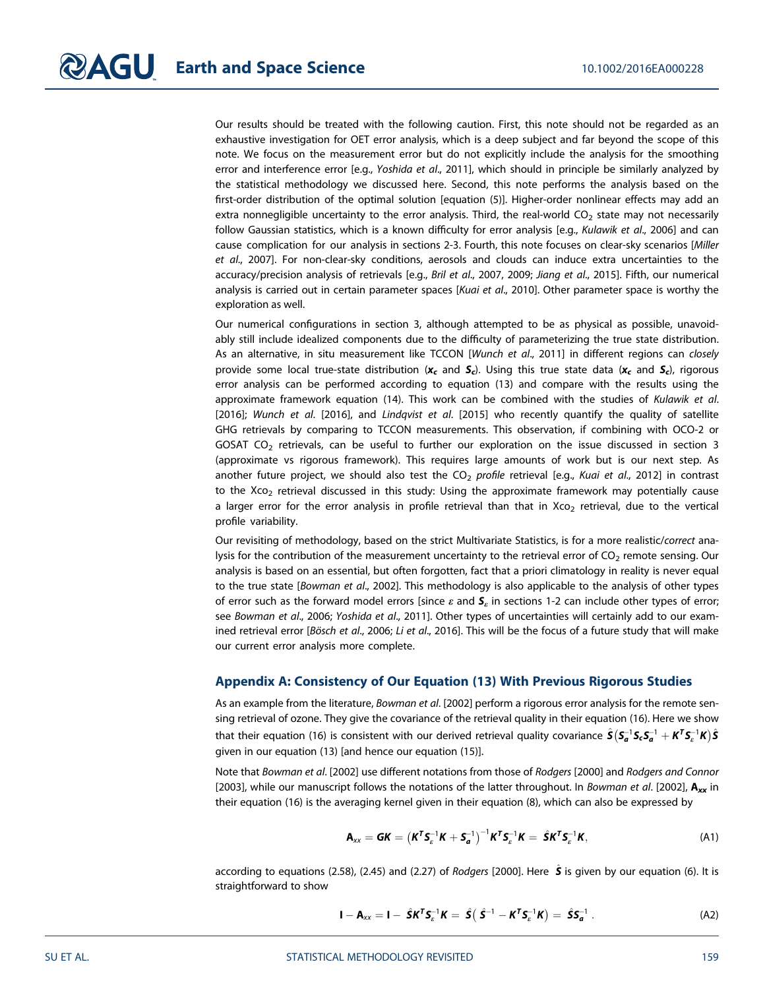Our results should be treated with the following caution. First, this note should not be regarded as an exhaustive investigation for OET error analysis, which is a deep subject and far beyond the scope of this note. We focus on the measurement error but do not explicitly include the analysis for the smoothing error and interference error [e.g., Yoshida et al., 2011], which should in principle be similarly analyzed by the statistical methodology we discussed here. Second, this note performs the analysis based on the first-order distribution of the optimal solution [equation (5)]. Higher-order nonlinear effects may add an extra nonnegligible uncertainty to the error analysis. Third, the real-world  $CO<sub>2</sub>$  state may not necessarily follow Gaussian statistics, which is a known difficulty for error analysis [e.g., Kulawik et al., 2006] and can cause complication for our analysis in sections 2-3. Fourth, this note focuses on clear-sky scenarios [Miller et al., 2007]. For non-clear-sky conditions, aerosols and clouds can induce extra uncertainties to the accuracy/precision analysis of retrievals [e.g., Bril et al., 2007, 2009; Jiang et al., 2015]. Fifth, our numerical analysis is carried out in certain parameter spaces [Kuai et al., 2010]. Other parameter space is worthy the exploration as well.

Our numerical configurations in section 3, although attempted to be as physical as possible, unavoidably still include idealized components due to the difficulty of parameterizing the true state distribution. As an alternative, in situ measurement like TCCON [Wunch et al., 2011] in different regions can closely provide some local true-state distribution ( $x_c$  and  $S_c$ ). Using this true state data ( $x_c$  and  $S_c$ ), rigorous error analysis can be performed according to equation (13) and compare with the results using the approximate framework equation (14). This work can be combined with the studies of Kulawik et al. [2016]; Wunch et al. [2016], and Lindqvist et al. [2015] who recently quantify the quality of satellite GHG retrievals by comparing to TCCON measurements. This observation, if combining with OCO-2 or GOSAT CO<sub>2</sub> retrievals, can be useful to further our exploration on the issue discussed in section 3 (approximate vs rigorous framework). This requires large amounts of work but is our next step. As another future project, we should also test the  $CO<sub>2</sub>$  profile retrieval [e.g., Kuai et al., 2012] in contrast to the  $X_{C<sub>2</sub>}$  retrieval discussed in this study: Using the approximate framework may potentially cause a larger error for the error analysis in profile retrieval than that in Xco<sub>2</sub> retrieval, due to the vertical profile variability.

Our revisiting of methodology, based on the strict Multivariate Statistics, is for a more realistic/correct analysis for the contribution of the measurement uncertainty to the retrieval error of CO<sub>2</sub> remote sensing. Our analysis is based on an essential, but often forgotten, fact that a priori climatology in reality is never equal to the true state [Bowman et al., 2002]. This methodology is also applicable to the analysis of other types of error such as the forward model errors [since  $\varepsilon$  and  $S_{\varepsilon}$  in sections 1-2 can include other types of error; see Bowman et al., 2006; Yoshida et al., 2011]. Other types of uncertainties will certainly add to our examined retrieval error [Bösch et al., 2006; Li et al., 2016]. This will be the focus of a future study that will make our current error analysis more complete.

#### Appendix A: Consistency of Our Equation (13) With Previous Rigorous Studies

As an example from the literature, Bowman et al. [2002] perform a rigorous error analysis for the remote sensing retrieval of ozone. They give the covariance of the retrieval quality in their equation (16). Here we show that their equation (16) is consistent with our derived retrieval quality covariance  $\hat{\bm{S}}\big(\bm{S}_{\bm{a}}^{-1}\bm{S}_{\bm{c}}\bm{S}_{\bm{a}}^{-1}+\bm{K}^T\bm{S}_{\bm{c}}^{-1}\bm{K}\big)\hat{\bm{S}}$ given in our equation (13) [and hence our equation (15)].

Note that Bowman et al. [2002] use different notations from those of Rodgers [2000] and Rodgers and Connor [2003], while our manuscript follows the notations of the latter throughout. In Bowman et al. [2002],  $A_{xx}$  in their equation (16) is the averaging kernel given in their equation (8), which can also be expressed by

$$
\mathbf{A}_{xx} = \mathbf{G}\mathbf{K} = \left(\mathbf{K}^{\mathsf{T}}\mathbf{S}_{\varepsilon}^{-1}\mathbf{K} + \mathbf{S}_{\mathbf{a}}^{-1}\right)^{-1}\mathbf{K}^{\mathsf{T}}\mathbf{S}_{\varepsilon}^{-1}\mathbf{K} = \hat{\mathbf{S}}\mathbf{K}^{\mathsf{T}}\mathbf{S}_{\varepsilon}^{-1}\mathbf{K},
$$
\n(A1)

according to equations (2.58), (2.45) and (2.27) of *Rodgers* [2000]. Here  $\hat{\bm{S}}$  is given by our equation (6). It is straightforward to show

$$
\mathbf{I} - \mathbf{A}_{xx} = \mathbf{I} - \hat{\mathbf{S}} \mathbf{K}^T \mathbf{S}_\varepsilon^{-1} \mathbf{K} = \hat{\mathbf{S}} \big( \hat{\mathbf{S}}^{-1} - \mathbf{K}^T \mathbf{S}_\varepsilon^{-1} \mathbf{K} \big) = \hat{\mathbf{S}} \mathbf{S}_{\mathbf{a}}^{-1} . \tag{A2}
$$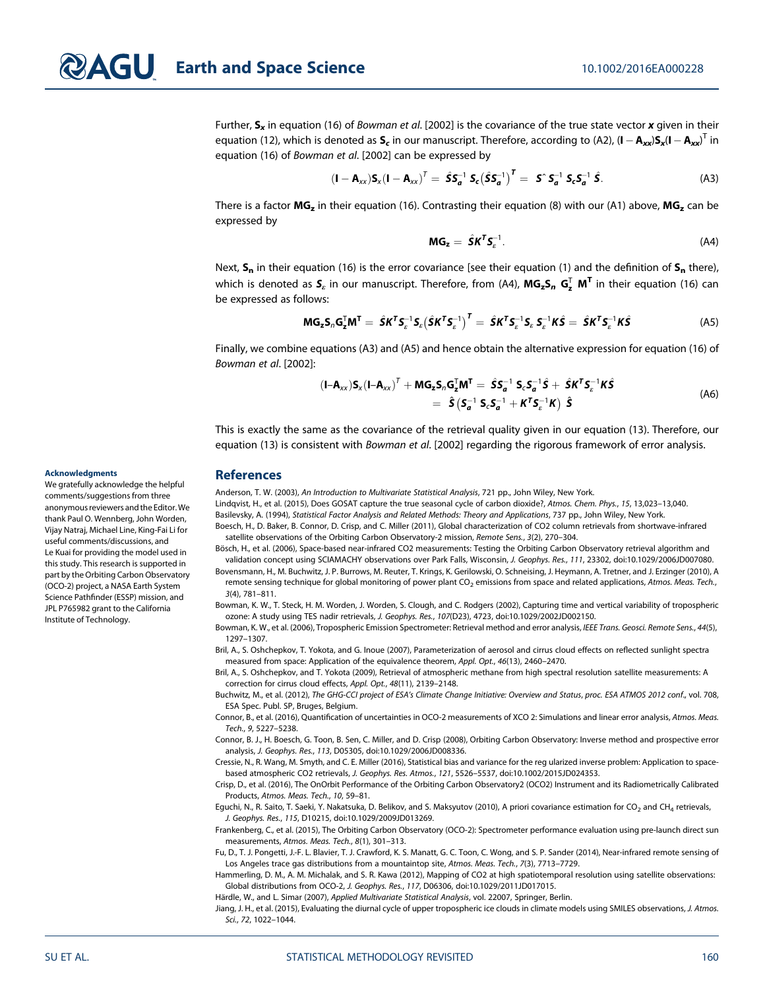Further,  $S_x$  in equation (16) of Bowman et al. [2002] is the covariance of the true state vector x given in their equation (12), which is denoted as  $S_c$  in our manuscript. Therefore, according to (A2), (**I**  $-$  **A<sub>xx</sub>**) $S_x$ (**I**  $-$  **A<sub>xx</sub>**)<sup>T</sup> in equation (16) of Bowman et al. [2002] can be expressed by

$$
\left(\mathbf{I}-\mathbf{A}_{xx}\right)\mathbf{S}_{x}\left(\mathbf{I}-\mathbf{A}_{xx}\right)^{T}=\hat{\mathbf{S}}\mathbf{S}_{a}^{-1}\ \mathbf{S}_{c}\left(\hat{\mathbf{S}}\mathbf{S}_{a}^{-1}\right)^{T}=\ \mathbf{S}^{\circ}\mathbf{S}_{a}^{-1}\ \mathbf{S}_{c}\mathbf{S}_{a}^{-1}\ \hat{\mathbf{S}}.\tag{A3}
$$

There is a factor  $MG_z$  in their equation (16). Contrasting their equation (8) with our (A1) above,  $MG_z$  can be expressed by

$$
MG_z = \hat{S}K^T S_z^{-1}.
$$
 (A4)

Next,  $S_n$  in their equation (16) is the error covariance [see their equation (1) and the definition of  $S_n$  there), which is denoted as  $\bm{\mathsf{S}}_e$  in our manuscript. Therefore, from (A4),  $\textsf{MG}_\bm{\mathsf{z}}\bm{\mathsf{S}}_n$   $\bm{\mathsf{G}}^\intercal_\bm{\mathsf{z}}$   $\bm{\mathsf{M}}^\bm{\mathsf{T}}$  in their equation (16) can be expressed as follows:

$$
MG_{z}S_{n}G_{z}^{T}M^{T} = \hat{S}K^{T}S_{\varepsilon}^{-1}S_{\varepsilon}(\hat{S}K^{T}S_{\varepsilon}^{-1})^{T} = \hat{S}K^{T}S_{\varepsilon}^{-1}S_{\varepsilon} S_{\varepsilon}^{-1}K\hat{S} = \hat{S}K^{T}S_{\varepsilon}^{-1}K\hat{S}
$$
(A5)

Finally, we combine equations (A3) and (A5) and hence obtain the alternative expression for equation (16) of Bowman et al. [2002]:

$$
(\mathbf{I} - \mathbf{A}_{xx})\mathbf{S}_x(\mathbf{I} - \mathbf{A}_{xx})^T + \mathbf{M}\mathbf{G}_z\mathbf{S}_n\mathbf{G}_z^T\mathbf{M}^T = \hat{\mathbf{S}}\mathbf{S}_a^{-1}\mathbf{S}_c\mathbf{S}_a^{-1}\hat{\mathbf{S}} + \hat{\mathbf{S}}\mathbf{K}^T\mathbf{S}_c^{-1}\mathbf{K}\hat{\mathbf{S}}
$$
  
=  $\hat{\mathbf{S}}(\mathbf{S}_a^{-1}\mathbf{S}_c\mathbf{S}_a^{-1} + \mathbf{K}^T\mathbf{S}_c^{-1}\mathbf{K})\hat{\mathbf{S}}$  (A6)

This is exactly the same as the covariance of the retrieval quality given in our equation (13). Therefore, our equation (13) is consistent with Bowman et al. [2002] regarding the rigorous framework of error analysis.

#### References

Anderson, T. W. (2003), An Introduction to Multivariate Statistical Analysis, 721 pp., John Wiley, New York.

Lindqvist, H., et al. (2015), Does GOSAT capture the true seasonal cycle of carbon dioxide?, Atmos. Chem. Phys., 15, 13,023–13,040. Basilevsky, A. (1994), Statistical Factor Analysis and Related Methods: Theory and Applications, 737 pp., John Wiley, New York.

Boesch, H., D. Baker, B. Connor, D. Crisp, and C. Miller (2011), Global characterization of CO2 column retrievals from shortwave-infrared satellite observations of the Orbiting Carbon Observatory-2 mission, Remote Sens., 3(2), 270–304.

Bösch, H., et al. (2006), Space-based near-infrared CO2 measurements: Testing the Orbiting Carbon Observatory retrieval algorithm and validation concept using SCIAMACHY observations over Park Falls, Wisconsin, J. Geophys. Res., 111, 23302, doi:[10.1029/2006JD007080.](http://doi.org/10.1029/2006JD007080)

Bovensmann, H., M. Buchwitz, J. P. Burrows, M. Reuter, T. Krings, K. Gerilowski, O. Schneising, J. Heymann, A. Tretner, and J. Erzinger (2010), A remote sensing technique for global monitoring of power plant CO<sub>2</sub> emissions from space and related applications, Atmos. Meas. Tech., 3(4), 781–811.

Bowman, K. W., T. Steck, H. M. Worden, J. Worden, S. Clough, and C. Rodgers (2002), Capturing time and vertical variability of tropospheric ozone: A study using TES nadir retrievals, J. Geophys. Res., 107(D23), 4723, doi:[10.1029/2002JD002150.](http://doi.org/10.1029/2002JD002150)

Bowman, K. W., et al. (2006), Tropospheric Emission Spectrometer: Retrieval method and error analysis, IEEE Trans. Geosci. Remote Sens., 44(5), 1297–1307.

Bril, A., S. Oshchepkov, T. Yokota, and G. Inoue (2007), Parameterization of aerosol and cirrus cloud effects on reflected sunlight spectra measured from space: Application of the equivalence theorem, Appl. Opt., 46(13), 2460–2470.

Bril, A., S. Oshchepkov, and T. Yokota (2009), Retrieval of atmospheric methane from high spectral resolution satellite measurements: A correction for cirrus cloud effects, Appl. Opt., 48(11), 2139–2148.

Buchwitz, M., et al. (2012), The GHG-CCI project of ESA's Climate Change Initiative: Overview and Status, proc. ESA ATMOS 2012 conf., vol. 708, ESA Spec. Publ. SP, Bruges, Belgium.

Connor, B., et al. (2016), Quantification of uncertainties in OCO-2 measurements of XCO 2: Simulations and linear error analysis, Atmos. Meas. Tech., 9, 5227–5238.

Connor, B. J., H. Boesch, G. Toon, B. Sen, C. Miller, and D. Crisp (2008), Orbiting Carbon Observatory: Inverse method and prospective error analysis, J. Geophys. Res., 113, D05305, doi:[10.1029/2006JD008336.](http://doi.org/10.1029/2006JD008336)

Cressie, N., R. Wang, M. Smyth, and C. E. Miller (2016), Statistical bias and variance for the reg ularized inverse problem: Application to spacebased atmospheric CO2 retrievals, J. Geophys. Res. Atmos., 121, 5526–5537, doi:[10.1002/2015JD024353.](http://doi.org/10.1002/2015JD024353)

Crisp, D., et al. (2016), The OnOrbit Performance of the Orbiting Carbon Observatory2 (OCO2) Instrument and its Radiometrically Calibrated Products, Atmos. Meas. Tech., 10, 59–81.

Eguchi, N., R. Saito, T. Saeki, Y. Nakatsuka, D. Belikov, and S. Maksyutov (2010), A priori covariance estimation for CO<sub>2</sub> and CH<sub>4</sub> retrievals, J. Geophys. Res., 115, D10215, doi:[10.1029/2009JD013269](http://doi.org/10.1029/2009JD013269).

Frankenberg, C., et al. (2015), The Orbiting Carbon Observatory (OCO-2): Spectrometer performance evaluation using pre-launch direct sun measurements, Atmos. Meas. Tech., 8(1), 301–313.

Fu, D., T. J. Pongetti, J.-F. L. Blavier, T. J. Crawford, K. S. Manatt, G. C. Toon, C. Wong, and S. P. Sander (2014), Near-infrared remote sensing of Los Angeles trace gas distributions from a mountaintop site, Atmos. Meas. Tech., 7(3), 7713–7729.

Hammerling, D. M., A. M. Michalak, and S. R. Kawa (2012), Mapping of CO2 at high spatiotemporal resolution using satellite observations: Global distributions from OCO-2, J. Geophys. Res., 117, D06306, doi:[10.1029/2011JD017015.](http://doi.org/10.1029/2011JD017015)

Härdle, W., and L. Simar (2007), Applied Multivariate Statistical Analysis, vol. 22007, Springer, Berlin.

Jiang, J. H., et al. (2015), Evaluating the diurnal cycle of upper tropospheric ice clouds in climate models using SMILES observations, J. Atmos. Sci., 72, 1022–1044.

#### Acknowledgments

We gratefully acknowledge the helpful comments/suggestions from three anonymous reviewers and the Editor.We thank Paul O. Wennberg, John Worden, Vijay Natraj, Michael Line, King-Fai Li for useful comments/discussions, and Le Kuai for providing the model used in this study. This research is supported in part by the Orbiting Carbon Observatory (OCO-2) project, a NASA Earth System Science Pathfinder (ESSP) mission, and JPL P765982 grant to the California Institute of Technology.